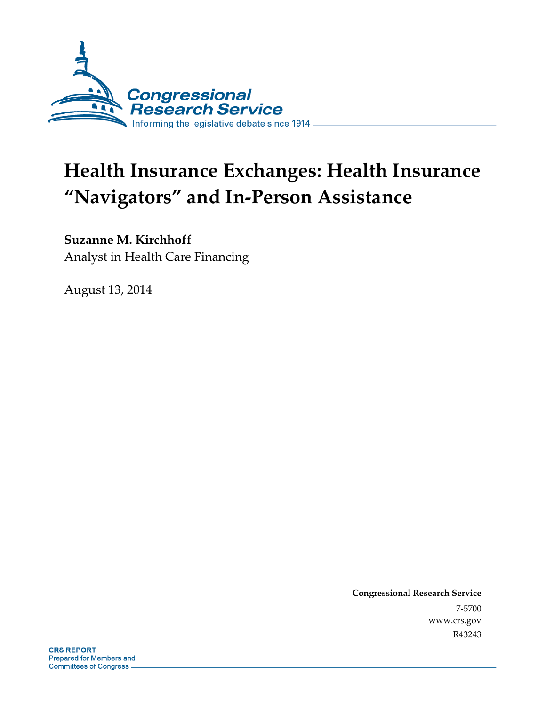

# **Health Insurance Exchanges: Health Insurance "Navigators" and In-Person Assistance**

## **Suzanne M. Kirchhoff**

Analyst in Health Care Financing

August 13, 2014

**Congressional Research Service**  7-5700 www.crs.gov R43243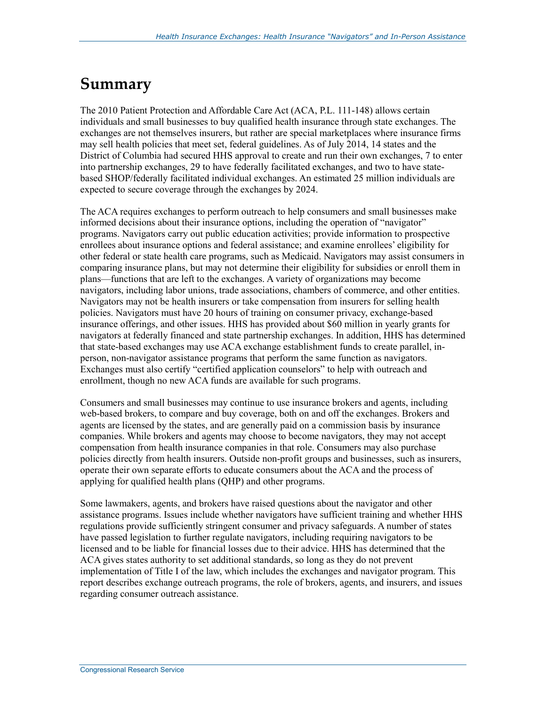## **Summary**

The 2010 Patient Protection and Affordable Care Act (ACA, P.L. 111-148) allows certain individuals and small businesses to buy qualified health insurance through state exchanges. The exchanges are not themselves insurers, but rather are special marketplaces where insurance firms may sell health policies that meet set, federal guidelines. As of July 2014, 14 states and the District of Columbia had secured HHS approval to create and run their own exchanges, 7 to enter into partnership exchanges, 29 to have federally facilitated exchanges, and two to have statebased SHOP/federally facilitated individual exchanges. An estimated 25 million individuals are expected to secure coverage through the exchanges by 2024.

The ACA requires exchanges to perform outreach to help consumers and small businesses make informed decisions about their insurance options, including the operation of "navigator" programs. Navigators carry out public education activities; provide information to prospective enrollees about insurance options and federal assistance; and examine enrollees' eligibility for other federal or state health care programs, such as Medicaid. Navigators may assist consumers in comparing insurance plans, but may not determine their eligibility for subsidies or enroll them in plans—functions that are left to the exchanges. A variety of organizations may become navigators, including labor unions, trade associations, chambers of commerce, and other entities. Navigators may not be health insurers or take compensation from insurers for selling health policies. Navigators must have 20 hours of training on consumer privacy, exchange-based insurance offerings, and other issues. HHS has provided about \$60 million in yearly grants for navigators at federally financed and state partnership exchanges. In addition, HHS has determined that state-based exchanges may use ACA exchange establishment funds to create parallel, inperson, non-navigator assistance programs that perform the same function as navigators. Exchanges must also certify "certified application counselors" to help with outreach and enrollment, though no new ACA funds are available for such programs.

Consumers and small businesses may continue to use insurance brokers and agents, including web-based brokers, to compare and buy coverage, both on and off the exchanges. Brokers and agents are licensed by the states, and are generally paid on a commission basis by insurance companies. While brokers and agents may choose to become navigators, they may not accept compensation from health insurance companies in that role. Consumers may also purchase policies directly from health insurers. Outside non-profit groups and businesses, such as insurers, operate their own separate efforts to educate consumers about the ACA and the process of applying for qualified health plans (QHP) and other programs.

Some lawmakers, agents, and brokers have raised questions about the navigator and other assistance programs. Issues include whether navigators have sufficient training and whether HHS regulations provide sufficiently stringent consumer and privacy safeguards. A number of states have passed legislation to further regulate navigators, including requiring navigators to be licensed and to be liable for financial losses due to their advice. HHS has determined that the ACA gives states authority to set additional standards, so long as they do not prevent implementation of Title I of the law, which includes the exchanges and navigator program. This report describes exchange outreach programs, the role of brokers, agents, and insurers, and issues regarding consumer outreach assistance.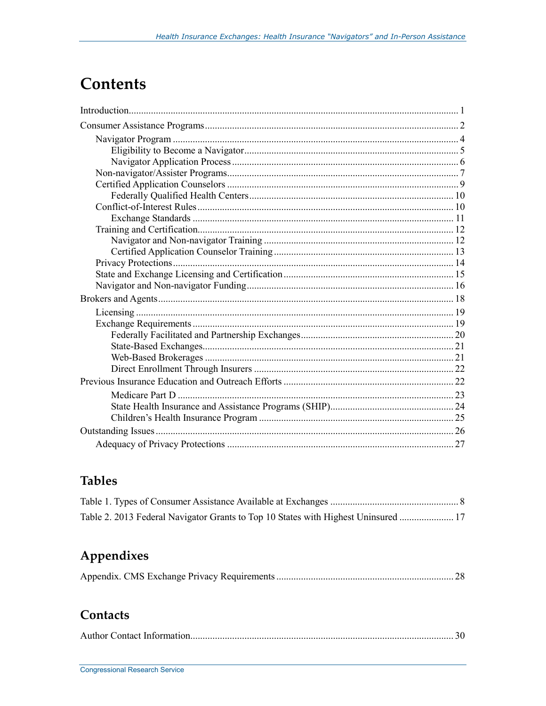## **Contents**

## **Tables**

| Table 2. 2013 Federal Navigator Grants to Top 10 States with Highest Uninsured  17 |  |
|------------------------------------------------------------------------------------|--|

## Appendixes

|--|--|--|

## Contacts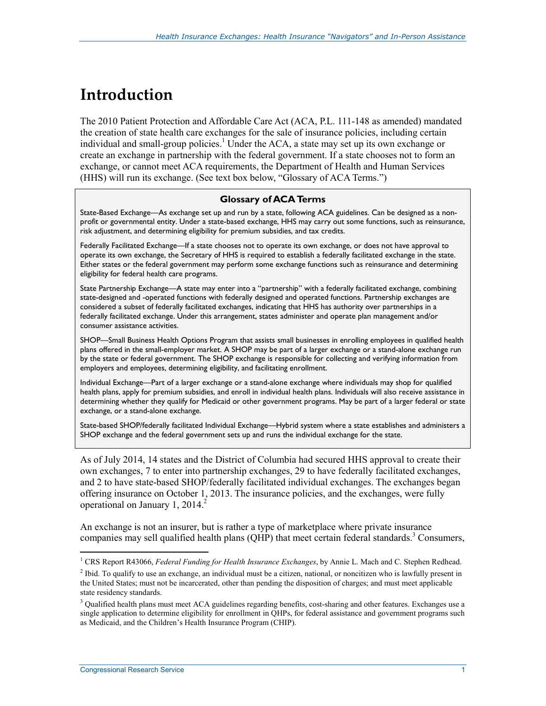## **Introduction**

The 2010 Patient Protection and Affordable Care Act (ACA, P.L. 111-148 as amended) mandated the creation of state health care exchanges for the sale of insurance policies, including certain individual and small-group policies.<sup>1</sup> Under the ACA, a state may set up its own exchange or create an exchange in partnership with the federal government. If a state chooses not to form an exchange, or cannot meet ACA requirements, the Department of Health and Human Services (HHS) will run its exchange. (See text box below, "Glossary of ACA Terms.")

#### **Glossary of ACA Terms**

State-Based Exchange—As exchange set up and run by a state, following ACA guidelines. Can be designed as a nonprofit or governmental entity. Under a state-based exchange, HHS may carry out some functions, such as reinsurance, risk adjustment, and determining eligibility for premium subsidies, and tax credits.

Federally Facilitated Exchange—If a state chooses not to operate its own exchange, or does not have approval to operate its own exchange, the Secretary of HHS is required to establish a federally facilitated exchange in the state. Either states or the federal government may perform some exchange functions such as reinsurance and determining eligibility for federal health care programs.

State Partnership Exchange—A state may enter into a "partnership" with a federally facilitated exchange, combining state-designed and -operated functions with federally designed and operated functions. Partnership exchanges are considered a subset of federally facilitated exchanges, indicating that HHS has authority over partnerships in a federally facilitated exchange. Under this arrangement, states administer and operate plan management and/or consumer assistance activities.

SHOP—Small Business Health Options Program that assists small businesses in enrolling employees in qualified health plans offered in the small-employer market. A SHOP may be part of a larger exchange or a stand-alone exchange run by the state or federal government. The SHOP exchange is responsible for collecting and verifying information from employers and employees, determining eligibility, and facilitating enrollment.

Individual Exchange—Part of a larger exchange or a stand-alone exchange where individuals may shop for qualified health plans, apply for premium subsidies, and enroll in individual health plans. Individuals will also receive assistance in determining whether they qualify for Medicaid or other government programs. May be part of a larger federal or state exchange, or a stand-alone exchange.

State-based SHOP/federally facilitated Individual Exchange—Hybrid system where a state establishes and administers a SHOP exchange and the federal government sets up and runs the individual exchange for the state.

As of July 2014, 14 states and the District of Columbia had secured HHS approval to create their own exchanges, 7 to enter into partnership exchanges, 29 to have federally facilitated exchanges, and 2 to have state-based SHOP/federally facilitated individual exchanges. The exchanges began offering insurance on October 1, 2013. The insurance policies, and the exchanges, were fully operational on January 1,  $2014.<sup>2</sup>$ 

An exchange is not an insurer, but is rather a type of marketplace where private insurance companies may sell qualified health plans  $(QHP)$  that meet certain federal standards.<sup>3</sup> Consumers,

<sup>&</sup>lt;sup>1</sup> CRS Report R43066, *Federal Funding for Health Insurance Exchanges*, by Annie L. Mach and C. Stephen Redhead.

<sup>&</sup>lt;sup>2</sup> Ibid. To qualify to use an exchange, an individual must be a citizen, national, or noncitizen who is lawfully present in the United States; must not be incarcerated, other than pending the disposition of charges; and must meet applicable state residency standards.

<sup>&</sup>lt;sup>3</sup> Qualified health plans must meet ACA guidelines regarding benefits, cost-sharing and other features. Exchanges use a single application to determine eligibility for enrollment in QHPs, for federal assistance and government programs such as Medicaid, and the Children's Health Insurance Program (CHIP).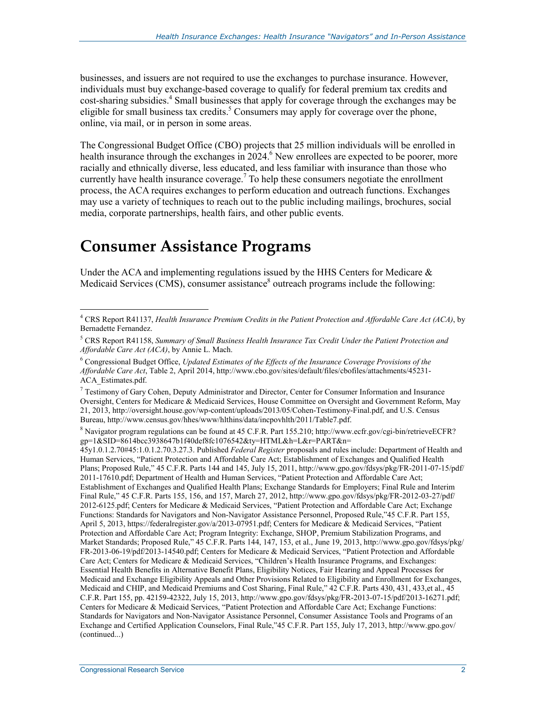businesses, and issuers are not required to use the exchanges to purchase insurance. However, individuals must buy exchange-based coverage to qualify for federal premium tax credits and cost-sharing subsidies.<sup>4</sup> Small businesses that apply for coverage through the exchanges may be eligible for small business tax credits.<sup>5</sup> Consumers may apply for coverage over the phone, online, via mail, or in person in some areas.

The Congressional Budget Office (CBO) projects that 25 million individuals will be enrolled in health insurance through the exchanges in 2024.<sup>6</sup> New enrollees are expected to be poorer, more racially and ethnically diverse, less educated, and less familiar with insurance than those who currently have health insurance coverage.<sup>7</sup> To help these consumers negotiate the enrollment process, the ACA requires exchanges to perform education and outreach functions. Exchanges may use a variety of techniques to reach out to the public including mailings, brochures, social media, corporate partnerships, health fairs, and other public events.

## **Consumer Assistance Programs**

Under the ACA and implementing regulations issued by the HHS Centers for Medicare  $\&$ Medicaid Services (CMS), consumer assistance<sup>8</sup> outreach programs include the following:

<sup>8</sup> Navigator program regulations can be found at 45 C.F.R. Part 155.210; http://www.ecfr.gov/cgi-bin/retrieveECFR? gp=1&SID=8614bcc3938647b1f40def8fc1076542&ty=HTML&h=L&r=PART&n=

45y1.0.1.2.70#45:1.0.1.2.70.3.27.3. Published *Federal Register* proposals and rules include: Department of Health and Human Services, "Patient Protection and Affordable Care Act; Establishment of Exchanges and Qualified Health Plans; Proposed Rule," 45 C.F.R. Parts 144 and 145, July 15, 2011, http://www.gpo.gov/fdsys/pkg/FR-2011-07-15/pdf/ 2011-17610.pdf; Department of Health and Human Services, "Patient Protection and Affordable Care Act; Establishment of Exchanges and Qualified Health Plans; Exchange Standards for Employers; Final Rule and Interim Final Rule," 45 C.F.R. Parts 155, 156, and 157, March 27, 2012, http://www.gpo.gov/fdsys/pkg/FR-2012-03-27/pdf/ 2012-6125.pdf; Centers for Medicare & Medicaid Services, "Patient Protection and Affordable Care Act; Exchange Functions: Standards for Navigators and Non-Navigator Assistance Personnel, Proposed Rule,"45 C.F.R. Part 155, April 5, 2013, https://federalregister.gov/a/2013-07951.pdf; Centers for Medicare & Medicaid Services, "Patient Protection and Affordable Care Act; Program Integrity: Exchange, SHOP, Premium Stabilization Programs, and Market Standards; Proposed Rule," 45 C.F.R. Parts 144, 147, 153, et al., June 19, 2013, http://www.gpo.gov/fdsys/pkg/ FR-2013-06-19/pdf/2013-14540.pdf; Centers for Medicare & Medicaid Services, "Patient Protection and Affordable Care Act; Centers for Medicare  $\&$  Medicaid Services, "Children's Health Insurance Programs, and Exchanges: Essential Health Benefits in Alternative Benefit Plans, Eligibility Notices, Fair Hearing and Appeal Processes for Medicaid and Exchange Eligibility Appeals and Other Provisions Related to Eligibility and Enrollment for Exchanges, Medicaid and CHIP, and Medicaid Premiums and Cost Sharing, Final Rule," 42 C.F.R. Parts 430, 431, 433,et al., 45 C.F.R. Part 155, pp. 42159-42322, July 15, 2013, http://www.gpo.gov/fdsys/pkg/FR-2013-07-15/pdf/2013-16271.pdf; Centers for Medicare & Medicaid Services, "Patient Protection and Affordable Care Act; Exchange Functions: Standards for Navigators and Non-Navigator Assistance Personnel, Consumer Assistance Tools and Programs of an Exchange and Certified Application Counselors, Final Rule,"45 C.F.R. Part 155, July 17, 2013, http://www.gpo.gov/ (continued...)

 4 CRS Report R41137, *Health Insurance Premium Credits in the Patient Protection and Affordable Care Act (ACA)*, by Bernadette Fernandez.

<sup>5</sup> CRS Report R41158, *Summary of Small Business Health Insurance Tax Credit Under the Patient Protection and Affordable Care Act (ACA)*, by Annie L. Mach.

<sup>&</sup>lt;sup>6</sup> Congressional Budget Office, *Updated Estimates of the Effects of the Insurance Coverage Provisions of the Affordable Care Act*, Table 2, April 2014, http://www.cbo.gov/sites/default/files/cbofiles/attachments/45231- ACA\_Estimates.pdf.

<sup>7</sup> Testimony of Gary Cohen, Deputy Administrator and Director, Center for Consumer Information and Insurance Oversight, Centers for Medicare & Medicaid Services, House Committee on Oversight and Government Reform, May 21, 2013, http://oversight.house.gov/wp-content/uploads/2013/05/Cohen-Testimony-Final.pdf, and U.S. Census Bureau, http://www.census.gov/hhes/www/hlthins/data/incpovhlth/2011/Table7.pdf.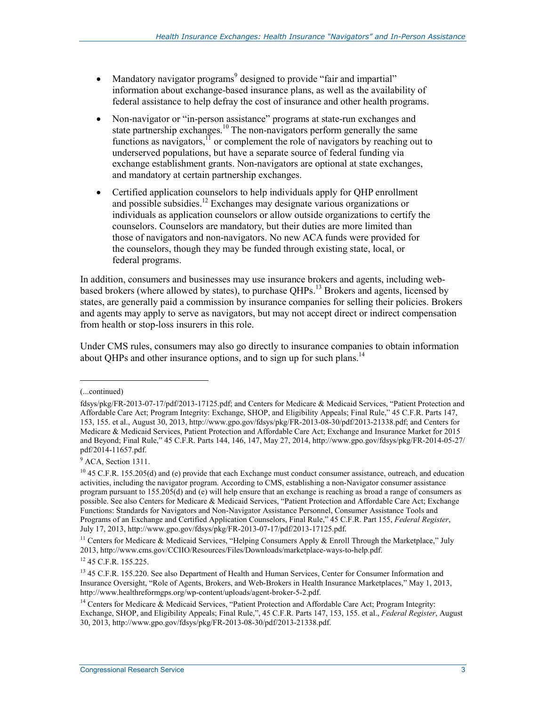- Mandatory navigator programs<sup>9</sup> designed to provide "fair and impartial" information about exchange-based insurance plans, as well as the availability of federal assistance to help defray the cost of insurance and other health programs.
- Non-navigator or "in-person assistance" programs at state-run exchanges and state partnership exchanges.<sup>10</sup> The non-navigators perform generally the same functions as navigators, $11$  or complement the role of navigators by reaching out to underserved populations, but have a separate source of federal funding via exchange establishment grants. Non-navigators are optional at state exchanges, and mandatory at certain partnership exchanges.
- Certified application counselors to help individuals apply for QHP enrollment and possible subsidies.12 Exchanges may designate various organizations or individuals as application counselors or allow outside organizations to certify the counselors. Counselors are mandatory, but their duties are more limited than those of navigators and non-navigators. No new ACA funds were provided for the counselors, though they may be funded through existing state, local, or federal programs.

In addition, consumers and businesses may use insurance brokers and agents, including webbased brokers (where allowed by states), to purchase QHPs.<sup>13</sup> Brokers and agents, licensed by states, are generally paid a commission by insurance companies for selling their policies. Brokers and agents may apply to serve as navigators, but may not accept direct or indirect compensation from health or stop-loss insurers in this role.

Under CMS rules, consumers may also go directly to insurance companies to obtain information about QHPs and other insurance options, and to sign up for such plans.<sup>14</sup>

<sup>(...</sup>continued)

fdsys/pkg/FR-2013-07-17/pdf/2013-17125.pdf; and Centers for Medicare & Medicaid Services, "Patient Protection and Affordable Care Act; Program Integrity: Exchange, SHOP, and Eligibility Appeals; Final Rule," 45 C.F.R. Parts 147, 153, 155. et al., August 30, 2013, http://www.gpo.gov/fdsys/pkg/FR-2013-08-30/pdf/2013-21338.pdf; and Centers for Medicare & Medicaid Services, Patient Protection and Affordable Care Act; Exchange and Insurance Market for 2015 and Beyond; Final Rule," 45 C.F.R. Parts 144, 146, 147, May 27, 2014, http://www.gpo.gov/fdsys/pkg/FR-2014-05-27/ pdf/2014-11657.pdf.

<sup>&</sup>lt;sup>9</sup> ACA, Section 1311.

 $10$  45 C.F.R. 155.205(d) and (e) provide that each Exchange must conduct consumer assistance, outreach, and education activities, including the navigator program. According to CMS, establishing a non-Navigator consumer assistance program pursuant to 155.205(d) and (e) will help ensure that an exchange is reaching as broad a range of consumers as possible. See also Centers for Medicare & Medicaid Services, "Patient Protection and Affordable Care Act; Exchange Functions: Standards for Navigators and Non-Navigator Assistance Personnel, Consumer Assistance Tools and Programs of an Exchange and Certified Application Counselors, Final Rule," 45 C.F.R. Part 155, *Federal Register*, July 17, 2013, http://www.gpo.gov/fdsys/pkg/FR-2013-07-17/pdf/2013-17125.pdf.

<sup>&</sup>lt;sup>11</sup> Centers for Medicare & Medicaid Services, "Helping Consumers Apply & Enroll Through the Marketplace," July 2013, http://www.cms.gov/CCIIO/Resources/Files/Downloads/marketplace-ways-to-help.pdf.

<sup>12 45</sup> C.F.R. 155.225.

<sup>&</sup>lt;sup>13</sup> 45 C.F.R. 155.220. See also Department of Health and Human Services, Center for Consumer Information and Insurance Oversight, "Role of Agents, Brokers, and Web-Brokers in Health Insurance Marketplaces," May 1, 2013, http://www.healthreformgps.org/wp-content/uploads/agent-broker-5-2.pdf.

<sup>&</sup>lt;sup>14</sup> Centers for Medicare & Medicaid Services, "Patient Protection and Affordable Care Act; Program Integrity: Exchange, SHOP, and Eligibility Appeals; Final Rule,", 45 C.F.R. Parts 147, 153, 155. et al., *Federal Register*, August 30, 2013, http://www.gpo.gov/fdsys/pkg/FR-2013-08-30/pdf/2013-21338.pdf.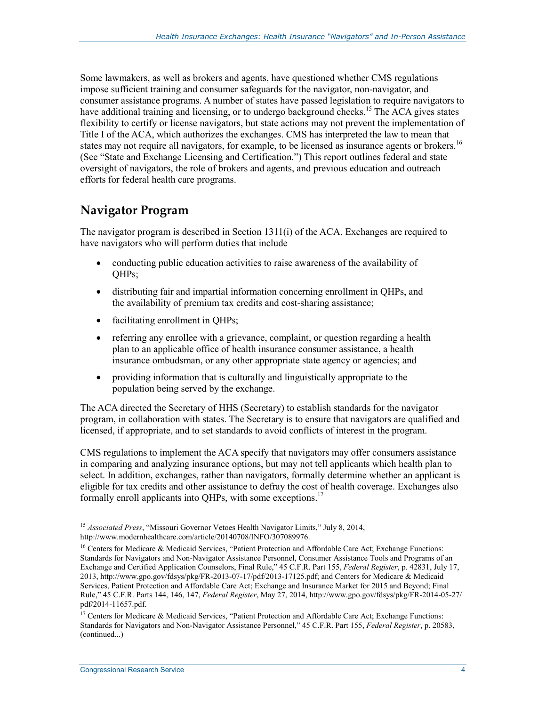Some lawmakers, as well as brokers and agents, have questioned whether CMS regulations impose sufficient training and consumer safeguards for the navigator, non-navigator, and consumer assistance programs. A number of states have passed legislation to require navigators to have additional training and licensing, or to undergo background checks.<sup>15</sup> The ACA gives states flexibility to certify or license navigators, but state actions may not prevent the implementation of Title I of the ACA, which authorizes the exchanges. CMS has interpreted the law to mean that states may not require all navigators, for example, to be licensed as insurance agents or brokers.<sup>16</sup> (See "State and Exchange Licensing and Certification.") This report outlines federal and state oversight of navigators, the role of brokers and agents, and previous education and outreach efforts for federal health care programs.

### **Navigator Program**

The navigator program is described in Section 1311(i) of the ACA. Exchanges are required to have navigators who will perform duties that include

- conducting public education activities to raise awareness of the availability of QHPs;
- distributing fair and impartial information concerning enrollment in QHPs, and the availability of premium tax credits and cost-sharing assistance;
- facilitating enrollment in QHPs;
- referring any enrollee with a grievance, complaint, or question regarding a health plan to an applicable office of health insurance consumer assistance, a health insurance ombudsman, or any other appropriate state agency or agencies; and
- providing information that is culturally and linguistically appropriate to the population being served by the exchange.

The ACA directed the Secretary of HHS (Secretary) to establish standards for the navigator program, in collaboration with states. The Secretary is to ensure that navigators are qualified and licensed, if appropriate, and to set standards to avoid conflicts of interest in the program.

CMS regulations to implement the ACA specify that navigators may offer consumers assistance in comparing and analyzing insurance options, but may not tell applicants which health plan to select. In addition, exchanges, rather than navigators, formally determine whether an applicant is eligible for tax credits and other assistance to defray the cost of health coverage. Exchanges also formally enroll applicants into OHPs, with some exceptions.<sup>17</sup>

<sup>&</sup>lt;u>.</u> <sup>15</sup> *Associated Press*, "Missouri Governor Vetoes Health Navigator Limits," July 8, 2014, http://www.modernhealthcare.com/article/20140708/INFO/307089976.

<sup>&</sup>lt;sup>16</sup> Centers for Medicare & Medicaid Services, "Patient Protection and Affordable Care Act; Exchange Functions: Standards for Navigators and Non-Navigator Assistance Personnel, Consumer Assistance Tools and Programs of an Exchange and Certified Application Counselors, Final Rule," 45 C.F.R. Part 155, *Federal Register*, p. 42831, July 17, 2013, http://www.gpo.gov/fdsys/pkg/FR-2013-07-17/pdf/2013-17125.pdf; and Centers for Medicare & Medicaid Services, Patient Protection and Affordable Care Act; Exchange and Insurance Market for 2015 and Beyond; Final Rule," 45 C.F.R. Parts 144, 146, 147, *Federal Register*, May 27, 2014, http://www.gpo.gov/fdsys/pkg/FR-2014-05-27/ pdf/2014-11657.pdf.

<sup>&</sup>lt;sup>17</sup> Centers for Medicare & Medicaid Services, "Patient Protection and Affordable Care Act; Exchange Functions: Standards for Navigators and Non-Navigator Assistance Personnel," 45 C.F.R. Part 155, *Federal Register*, p. 20583, (continued...)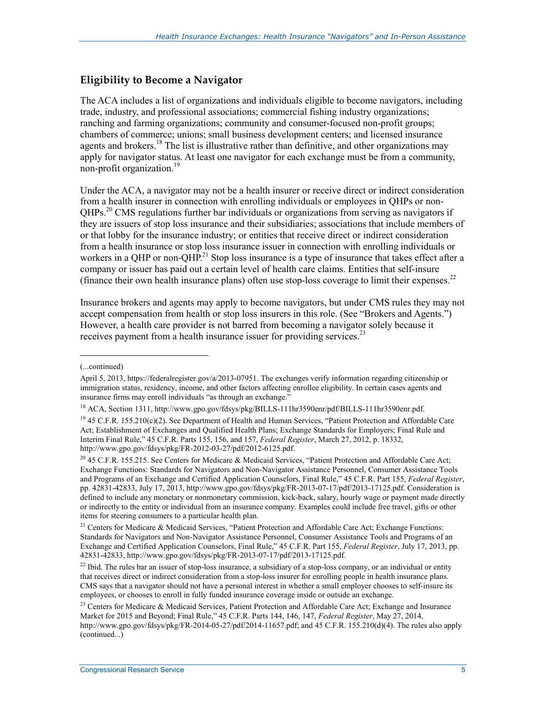### **Eligibility to Become a Navigator**

The ACA includes a list of organizations and individuals eligible to become navigators, including trade, industry, and professional associations; commercial fishing industry organizations; ranching and farming organizations; community and consumer-focused non-profit groups; chambers of commerce; unions; small business development centers; and licensed insurance agents and brokers.<sup>18</sup> The list is illustrative rather than definitive, and other organizations may apply for navigator status. At least one navigator for each exchange must be from a community, non-profit organization.<sup>19</sup>

Under the ACA, a navigator may not be a health insurer or receive direct or indirect consideration from a health insurer in connection with enrolling individuals or employees in QHPs or non-QHPs.20 CMS regulations further bar individuals or organizations from serving as navigators if they are issuers of stop loss insurance and their subsidiaries; associations that include members of or that lobby for the insurance industry; or entities that receive direct or indirect consideration from a health insurance or stop loss insurance issuer in connection with enrolling individuals or workers in a QHP or non-QHP.<sup>21</sup> Stop loss insurance is a type of insurance that takes effect after a company or issuer has paid out a certain level of health care claims. Entities that self-insure (finance their own health insurance plans) often use stop-loss coverage to limit their expenses.22

Insurance brokers and agents may apply to become navigators, but under CMS rules they may not accept compensation from health or stop loss insurers in this role. (See "Brokers and Agents.") However, a health care provider is not barred from becoming a navigator solely because it receives payment from a health insurance issuer for providing services.<sup>23</sup>

<sup>(...</sup>continued)

April 5, 2013, https://federalregister.gov/a/2013-07951. The exchanges verify information regarding citizenship or immigration status, residency, income, and other factors affecting enrollee eligibility. In certain cases agents and insurance firms may enroll individuals "as through an exchange."

<sup>18</sup> ACA, Section 1311, http://www.gpo.gov/fdsys/pkg/BILLS-111hr3590enr/pdf/BILLS-111hr3590enr.pdf.

<sup>&</sup>lt;sup>19</sup> 45 C.F.R. 155.210(c)(2). See Department of Health and Human Services, "Patient Protection and Affordable Care Act; Establishment of Exchanges and Qualified Health Plans; Exchange Standards for Employers; Final Rule and Interim Final Rule," 45 C.F.R. Parts 155, 156, and 157, *Federal Register*, March 27, 2012, p. 18332, http://www.gpo.gov/fdsys/pkg/FR-2012-03-27/pdf/2012-6125.pdf.

<sup>&</sup>lt;sup>20</sup> 45 C.F.R. 155.215. See Centers for Medicare & Medicaid Services, "Patient Protection and Affordable Care Act; Exchange Functions: Standards for Navigators and Non-Navigator Assistance Personnel, Consumer Assistance Tools and Programs of an Exchange and Certified Application Counselors, Final Rule," 45 C.F.R. Part 155, *Federal Register*, pp. 42831-42833, July 17, 2013, http://www.gpo.gov/fdsys/pkg/FR-2013-07-17/pdf/2013-17125.pdf. Consideration is defined to include any monetary or nonmonetary commission, kick-back, salary, hourly wage or payment made directly or indirectly to the entity or individual from an insurance company. Examples could include free travel, gifts or other items for steering consumers to a particular health plan.

<sup>&</sup>lt;sup>21</sup> Centers for Medicare & Medicaid Services, "Patient Protection and Affordable Care Act; Exchange Functions: Standards for Navigators and Non-Navigator Assistance Personnel, Consumer Assistance Tools and Programs of an Exchange and Certified Application Counselors, Final Rule," 45 C.F.R. Part 155, *Federal Register*, July 17, 2013, pp. 42831-42833, http://www.gpo.gov/fdsys/pkg/FR-2013-07-17/pdf/2013-17125.pdf.

 $^{22}$  Ibid. The rules bar an issuer of stop-loss insurance, a subsidiary of a stop-loss company, or an individual or entity that receives direct or indirect consideration from a stop-loss insurer for enrolling people in health insurance plans. CMS says that a navigator should not have a personal interest in whether a small employer chooses to self-insure its employees, or chooses to enroll in fully funded insurance coverage inside or outside an exchange.

<sup>&</sup>lt;sup>23</sup> Centers for Medicare & Medicaid Services, Patient Protection and Affordable Care Act; Exchange and Insurance Market for 2015 and Beyond; Final Rule," 45 C.F.R. Parts 144, 146, 147, *Federal Register*, May 27, 2014, http://www.gpo.gov/fdsys/pkg/FR-2014-05-27/pdf/2014-11657.pdf; and 45 C.F.R. 155.210(d)(4). The rules also apply (continued...)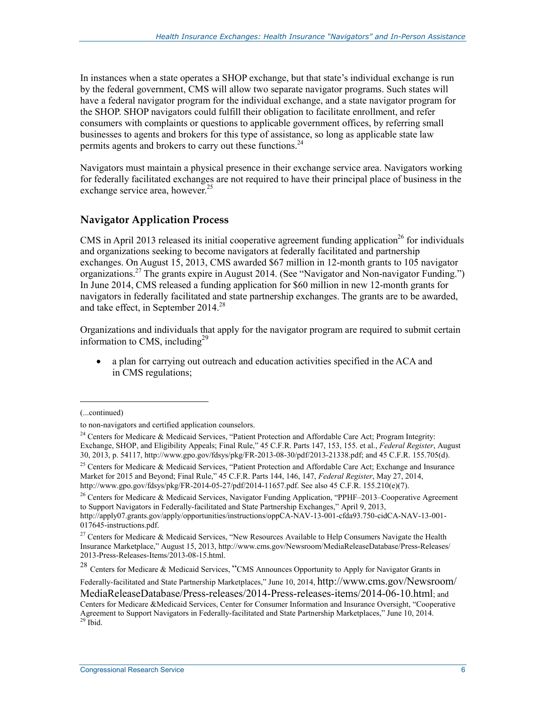In instances when a state operates a SHOP exchange, but that state's individual exchange is run by the federal government, CMS will allow two separate navigator programs. Such states will have a federal navigator program for the individual exchange, and a state navigator program for the SHOP. SHOP navigators could fulfill their obligation to facilitate enrollment, and refer consumers with complaints or questions to applicable government offices, by referring small businesses to agents and brokers for this type of assistance, so long as applicable state law permits agents and brokers to carry out these functions.<sup>24</sup>

Navigators must maintain a physical presence in their exchange service area. Navigators working for federally facilitated exchanges are not required to have their principal place of business in the exchange service area, however.<sup>25</sup>

### **Navigator Application Process**

CMS in April 2013 released its initial cooperative agreement funding application<sup>26</sup> for individuals and organizations seeking to become navigators at federally facilitated and partnership exchanges. On August 15, 2013, CMS awarded \$67 million in 12-month grants to 105 navigator organizations.<sup>27</sup> The grants expire in August 2014. (See "Navigator and Non-navigator Funding.") In June 2014, CMS released a funding application for \$60 million in new 12-month grants for navigators in federally facilitated and state partnership exchanges. The grants are to be awarded, and take effect, in September 2014.<sup>28</sup>

Organizations and individuals that apply for the navigator program are required to submit certain information to CMS, including<sup>29</sup>

• a plan for carrying out outreach and education activities specified in the ACA and in CMS regulations;

1

<sup>26</sup> Centers for Medicare & Medicaid Services, Navigator Funding Application, "PPHF–2013–Cooperative Agreement to Support Navigators in Federally-facilitated and State Partnership Exchanges," April 9, 2013, http://apply07.grants.gov/apply/opportunities/instructions/oppCA-NAV-13-001-cfda93.750-cidCA-NAV-13-001-

<sup>28</sup> Centers for Medicare & Medicaid Services, "CMS Announces Opportunity to Apply for Navigator Grants in

Federally-facilitated and State Partnership Marketplaces," June 10, 2014, http://www.cms.gov/Newsroom/

MediaReleaseDatabase/Press-releases/2014-Press-releases-items/2014-06-10.html; and

<sup>(...</sup>continued)

to non-navigators and certified application counselors.

<sup>&</sup>lt;sup>24</sup> Centers for Medicare & Medicaid Services, "Patient Protection and Affordable Care Act; Program Integrity: Exchange, SHOP, and Eligibility Appeals; Final Rule," 45 C.F.R. Parts 147, 153, 155. et al., *Federal Register*, August 30, 2013, p. 54117, http://www.gpo.gov/fdsys/pkg/FR-2013-08-30/pdf/2013-21338.pdf; and 45 C.F.R. 155.705(d).

<sup>&</sup>lt;sup>25</sup> Centers for Medicare & Medicaid Services, "Patient Protection and Affordable Care Act; Exchange and Insurance Market for 2015 and Beyond; Final Rule," 45 C.F.R. Parts 144, 146, 147, *Federal Register*, May 27, 2014, http://www.gpo.gov/fdsys/pkg/FR-2014-05-27/pdf/2014-11657.pdf. See also 45 C.F.R. 155.210(e)(7).

<sup>017645-</sup>instructions.pdf.

<sup>&</sup>lt;sup>27</sup> Centers for Medicare & Medicaid Services, "New Resources Available to Help Consumers Navigate the Health Insurance Marketplace," August 15, 2013, http://www.cms.gov/Newsroom/MediaReleaseDatabase/Press-Releases/ 2013-Press-Releases-Items/2013-08-15.html.

Centers for Medicare &Medicaid Services, Center for Consumer Information and Insurance Oversight, "Cooperative Agreement to Support Navigators in Federally-facilitated and State Partnership Marketplaces," June 10, 2014.<br><sup>29</sup> Ibid.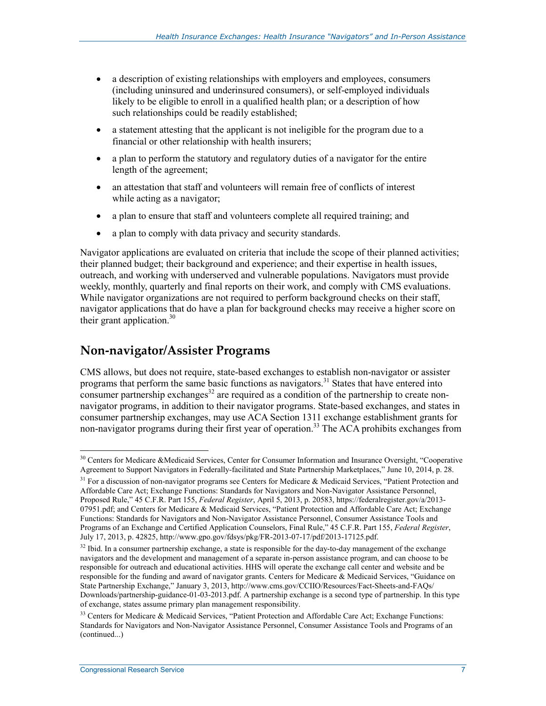- a description of existing relationships with employers and employees, consumers (including uninsured and underinsured consumers), or self-employed individuals likely to be eligible to enroll in a qualified health plan; or a description of how such relationships could be readily established;
- a statement attesting that the applicant is not ineligible for the program due to a financial or other relationship with health insurers;
- a plan to perform the statutory and regulatory duties of a navigator for the entire length of the agreement;
- an attestation that staff and volunteers will remain free of conflicts of interest while acting as a navigator;
- a plan to ensure that staff and volunteers complete all required training; and
- a plan to comply with data privacy and security standards.

Navigator applications are evaluated on criteria that include the scope of their planned activities; their planned budget; their background and experience; and their expertise in health issues, outreach, and working with underserved and vulnerable populations. Navigators must provide weekly, monthly, quarterly and final reports on their work, and comply with CMS evaluations. While navigator organizations are not required to perform background checks on their staff, navigator applications that do have a plan for background checks may receive a higher score on their grant application. $30$ 

### **Non-navigator/Assister Programs**

CMS allows, but does not require, state-based exchanges to establish non-navigator or assister programs that perform the same basic functions as navigators.<sup>31</sup> States that have entered into consumer partnership exchanges $32$  are required as a condition of the partnership to create nonnavigator programs, in addition to their navigator programs. State-based exchanges, and states in consumer partnership exchanges, may use ACA Section 1311 exchange establishment grants for non-navigator programs during their first year of operation.<sup>33</sup> The ACA prohibits exchanges from

<sup>&</sup>lt;sup>30</sup> Centers for Medicare &Medicaid Services, Center for Consumer Information and Insurance Oversight, "Cooperative Agreement to Support Navigators in Federally-facilitated and State Partnership Marketplaces," June 10, 2014, p. 28.

 $31$  For a discussion of non-navigator programs see Centers for Medicare & Medicaid Services, "Patient Protection and Affordable Care Act; Exchange Functions: Standards for Navigators and Non-Navigator Assistance Personnel, Proposed Rule," 45 C.F.R. Part 155, *Federal Register*, April 5, 2013, p. 20583, https://federalregister.gov/a/2013- 07951.pdf; and Centers for Medicare & Medicaid Services, "Patient Protection and Affordable Care Act; Exchange Functions: Standards for Navigators and Non-Navigator Assistance Personnel, Consumer Assistance Tools and Programs of an Exchange and Certified Application Counselors, Final Rule," 45 C.F.R. Part 155, *Federal Register*, July 17, 2013, p. 42825, http://www.gpo.gov/fdsys/pkg/FR-2013-07-17/pdf/2013-17125.pdf.

<sup>&</sup>lt;sup>32</sup> Ibid. In a consumer partnership exchange, a state is responsible for the day-to-day management of the exchange navigators and the development and management of a separate in-person assistance program, and can choose to be responsible for outreach and educational activities. HHS will operate the exchange call center and website and be responsible for the funding and award of navigator grants. Centers for Medicare & Medicaid Services, "Guidance on State Partnership Exchange," January 3, 2013, http://www.cms.gov/CCIIO/Resources/Fact-Sheets-and-FAQs/ Downloads/partnership-guidance-01-03-2013.pdf. A partnership exchange is a second type of partnership. In this type of exchange, states assume primary plan management responsibility.

 $33$  Centers for Medicare & Medicaid Services, "Patient Protection and Affordable Care Act; Exchange Functions: Standards for Navigators and Non-Navigator Assistance Personnel, Consumer Assistance Tools and Programs of an (continued...)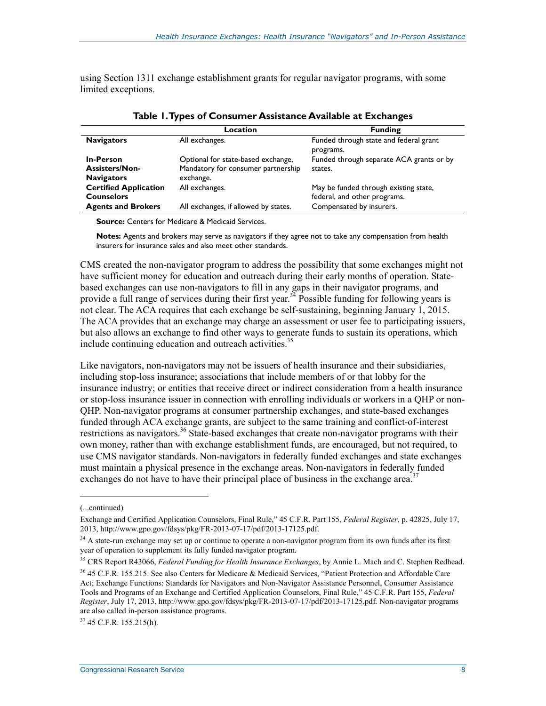using Section 1311 exchange establishment grants for regular navigator programs, with some limited exceptions.

|                                                                | Location                                                                              | <b>Funding</b>                                                        |
|----------------------------------------------------------------|---------------------------------------------------------------------------------------|-----------------------------------------------------------------------|
| <b>Navigators</b>                                              | All exchanges.                                                                        | Funded through state and federal grant<br>programs.                   |
| <b>In-Person</b><br><b>Assisters/Non-</b><br><b>Navigators</b> | Optional for state-based exchange,<br>Mandatory for consumer partnership<br>exchange. | Funded through separate ACA grants or by<br>states.                   |
| <b>Certified Application</b><br><b>Counselors</b>              | All exchanges.                                                                        | May be funded through existing state,<br>federal, and other programs. |
| <b>Agents and Brokers</b>                                      | All exchanges, if allowed by states.                                                  | Compensated by insurers.                                              |

**Table 1. Types of Consumer Assistance Available at Exchanges** 

**Source:** Centers for Medicare & Medicaid Services.

**Notes:** Agents and brokers may serve as navigators if they agree not to take any compensation from health insurers for insurance sales and also meet other standards.

CMS created the non-navigator program to address the possibility that some exchanges might not have sufficient money for education and outreach during their early months of operation. Statebased exchanges can use non-navigators to fill in any gaps in their navigator programs, and provide a full range of services during their first year.<sup>34</sup> Possible funding for following years is not clear. The ACA requires that each exchange be self-sustaining, beginning January 1, 2015. The ACA provides that an exchange may charge an assessment or user fee to participating issuers, but also allows an exchange to find other ways to generate funds to sustain its operations, which include continuing education and outreach activities. $35$ 

Like navigators, non-navigators may not be issuers of health insurance and their subsidiaries, including stop-loss insurance; associations that include members of or that lobby for the insurance industry; or entities that receive direct or indirect consideration from a health insurance or stop-loss insurance issuer in connection with enrolling individuals or workers in a QHP or non-QHP. Non-navigator programs at consumer partnership exchanges, and state-based exchanges funded through ACA exchange grants, are subject to the same training and conflict-of-interest restrictions as navigators.<sup>36</sup> State-based exchanges that create non-navigator programs with their own money, rather than with exchange establishment funds, are encouraged, but not required, to use CMS navigator standards. Non-navigators in federally funded exchanges and state exchanges must maintain a physical presence in the exchange areas. Non-navigators in federally funded exchanges do not have to have their principal place of business in the exchange area.<sup>37</sup>

1

 $37,45$  C.F.R. 155.215(h).

<sup>(...</sup>continued)

Exchange and Certified Application Counselors, Final Rule," 45 C.F.R. Part 155, *Federal Register*, p. 42825, July 17, 2013, http://www.gpo.gov/fdsys/pkg/FR-2013-07-17/pdf/2013-17125.pdf.

 $34$  A state-run exchange may set up or continue to operate a non-navigator program from its own funds after its first year of operation to supplement its fully funded navigator program.

<sup>35</sup> CRS Report R43066, *Federal Funding for Health Insurance Exchanges*, by Annie L. Mach and C. Stephen Redhead.

<sup>36 45</sup> C.F.R. 155.215. See also Centers for Medicare & Medicaid Services, "Patient Protection and Affordable Care Act; Exchange Functions: Standards for Navigators and Non-Navigator Assistance Personnel, Consumer Assistance Tools and Programs of an Exchange and Certified Application Counselors, Final Rule," 45 C.F.R. Part 155, *Federal Register*, July 17, 2013, http://www.gpo.gov/fdsys/pkg/FR-2013-07-17/pdf/2013-17125.pdf. Non-navigator programs are also called in-person assistance programs.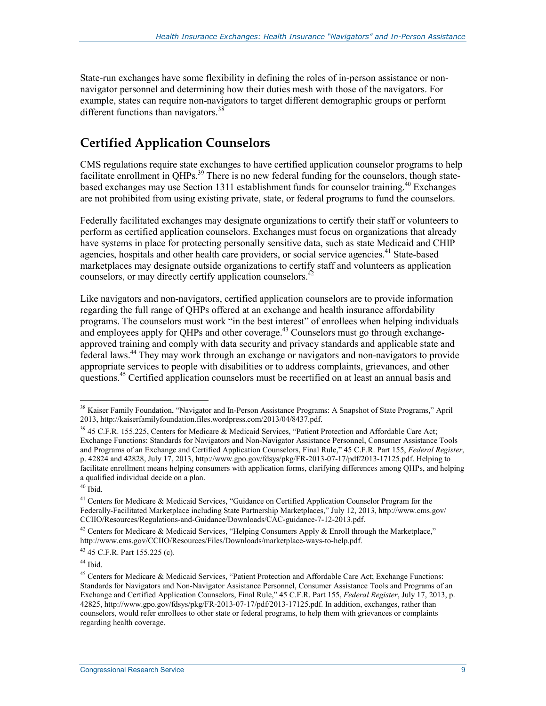State-run exchanges have some flexibility in defining the roles of in-person assistance or nonnavigator personnel and determining how their duties mesh with those of the navigators. For example, states can require non-navigators to target different demographic groups or perform different functions than navigators.<sup>38</sup>

## **Certified Application Counselors**

CMS regulations require state exchanges to have certified application counselor programs to help facilitate enrollment in QHPs.<sup>39</sup> There is no new federal funding for the counselors, though statebased exchanges may use Section 1311 establishment funds for counselor training.<sup>40</sup> Exchanges are not prohibited from using existing private, state, or federal programs to fund the counselors.

Federally facilitated exchanges may designate organizations to certify their staff or volunteers to perform as certified application counselors. Exchanges must focus on organizations that already have systems in place for protecting personally sensitive data, such as state Medicaid and CHIP agencies, hospitals and other health care providers, or social service agencies.<sup>41</sup> State-based marketplaces may designate outside organizations to certify staff and volunteers as application counselors, or may directly certify application counselors.<sup>42</sup>

Like navigators and non-navigators, certified application counselors are to provide information regarding the full range of QHPs offered at an exchange and health insurance affordability programs. The counselors must work "in the best interest" of enrollees when helping individuals and employees apply for QHPs and other coverage.<sup>43</sup> Counselors must go through exchangeapproved training and comply with data security and privacy standards and applicable state and federal laws.44 They may work through an exchange or navigators and non-navigators to provide appropriate services to people with disabilities or to address complaints, grievances, and other questions.<sup>45</sup> Certified application counselors must be recertified on at least an annual basis and

 $40$  Ibid.

1

43 45 C.F.R. Part 155.225 (c).

 $44$  Ibid.

<sup>&</sup>lt;sup>38</sup> Kaiser Family Foundation, "Navigator and In-Person Assistance Programs: A Snapshot of State Programs," April 2013, http://kaiserfamilyfoundation.files.wordpress.com/2013/04/8437.pdf.

<sup>&</sup>lt;sup>39</sup> 45 C.F.R. 155.225, Centers for Medicare & Medicaid Services, "Patient Protection and Affordable Care Act; Exchange Functions: Standards for Navigators and Non-Navigator Assistance Personnel, Consumer Assistance Tools and Programs of an Exchange and Certified Application Counselors, Final Rule," 45 C.F.R. Part 155, *Federal Register*, p. 42824 and 42828, July 17, 2013, http://www.gpo.gov/fdsys/pkg/FR-2013-07-17/pdf/2013-17125.pdf. Helping to facilitate enrollment means helping consumers with application forms, clarifying differences among QHPs, and helping a qualified individual decide on a plan.

<sup>&</sup>lt;sup>41</sup> Centers for Medicare & Medicaid Services, "Guidance on Certified Application Counselor Program for the Federally-Facilitated Marketplace including State Partnership Marketplaces," July 12, 2013, http://www.cms.gov/ CCIIO/Resources/Regulations-and-Guidance/Downloads/CAC-guidance-7-12-2013.pdf.

<sup>&</sup>lt;sup>42</sup> Centers for Medicare & Medicaid Services, "Helping Consumers Apply & Enroll through the Marketplace," http://www.cms.gov/CCIIO/Resources/Files/Downloads/marketplace-ways-to-help.pdf.

<sup>45</sup> Centers for Medicare & Medicaid Services, "Patient Protection and Affordable Care Act; Exchange Functions: Standards for Navigators and Non-Navigator Assistance Personnel, Consumer Assistance Tools and Programs of an Exchange and Certified Application Counselors, Final Rule," 45 C.F.R. Part 155, *Federal Register*, July 17, 2013, p. 42825, http://www.gpo.gov/fdsys/pkg/FR-2013-07-17/pdf/2013-17125.pdf. In addition, exchanges, rather than counselors, would refer enrollees to other state or federal programs, to help them with grievances or complaints regarding health coverage.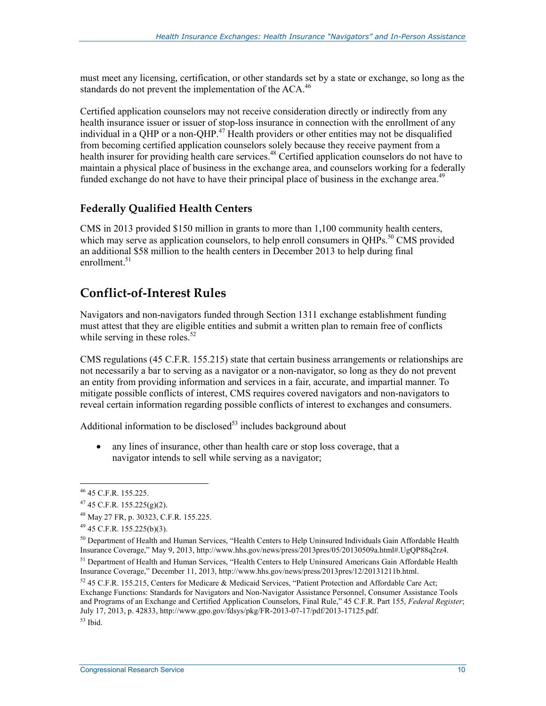must meet any licensing, certification, or other standards set by a state or exchange, so long as the standards do not prevent the implementation of the ACA.<sup>46</sup>

Certified application counselors may not receive consideration directly or indirectly from any health insurance issuer or issuer of stop-loss insurance in connection with the enrollment of any individual in a OHP or a non-OHP.<sup>47</sup> Health providers or other entities may not be disqualified from becoming certified application counselors solely because they receive payment from a health insurer for providing health care services.<sup>48</sup> Certified application counselors do not have to maintain a physical place of business in the exchange area, and counselors working for a federally funded exchange do not have to have their principal place of business in the exchange area.<sup>49</sup>

### **Federally Qualified Health Centers**

CMS in 2013 provided \$150 million in grants to more than 1,100 community health centers, which may serve as application counselors, to help enroll consumers in  $OHPs$ <sup>50</sup> CMS provided an additional \$58 million to the health centers in December 2013 to help during final enrollment<sup>51</sup>

## **Conflict-of-Interest Rules**

Navigators and non-navigators funded through Section 1311 exchange establishment funding must attest that they are eligible entities and submit a written plan to remain free of conflicts while serving in these roles. $52$ 

CMS regulations (45 C.F.R. 155.215) state that certain business arrangements or relationships are not necessarily a bar to serving as a navigator or a non-navigator, so long as they do not prevent an entity from providing information and services in a fair, accurate, and impartial manner. To mitigate possible conflicts of interest, CMS requires covered navigators and non-navigators to reveal certain information regarding possible conflicts of interest to exchanges and consumers.

Additional information to be disclosed $53$  includes background about

• any lines of insurance, other than health care or stop loss coverage, that a navigator intends to sell while serving as a navigator;

<u>.</u>

<sup>46 45</sup> C.F.R. 155.225.

 $47$  45 C.F.R. 155.225(g)(2).

<sup>48</sup> May 27 FR, p. 30323, C.F.R. 155.225.

 $49$  45 C.F.R. 155.225(b)(3).

<sup>&</sup>lt;sup>50</sup> Department of Health and Human Services, "Health Centers to Help Uninsured Individuals Gain Affordable Health Insurance Coverage," May 9, 2013, http://www.hhs.gov/news/press/2013pres/05/20130509a.html#.UgQP88q2rz4. <sup>51</sup> Department of Health and Human Services, "Health Centers to Help Uninsured Americans Gain Affordable Health Insurance Coverage," December 11, 2013, http://www.hhs.gov/news/press/2013pres/12/20131211b.html.

 $52$  45 C.F.R. 155.215, Centers for Medicare & Medicaid Services, "Patient Protection and Affordable Care Act; Exchange Functions: Standards for Navigators and Non-Navigator Assistance Personnel, Consumer Assistance Tools and Programs of an Exchange and Certified Application Counselors, Final Rule," 45 C.F.R. Part 155, *Federal Register*; July 17, 2013, p. 42833, http://www.gpo.gov/fdsys/pkg/FR-2013-07-17/pdf/2013-17125.pdf.  $53$  Ibid.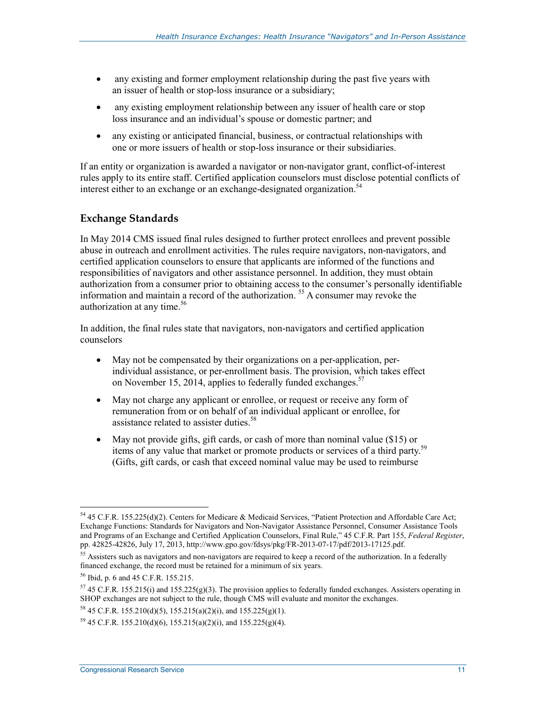- any existing and former employment relationship during the past five years with an issuer of health or stop-loss insurance or a subsidiary;
- any existing employment relationship between any issuer of health care or stop loss insurance and an individual's spouse or domestic partner; and
- any existing or anticipated financial, business, or contractual relationships with one or more issuers of health or stop-loss insurance or their subsidiaries.

If an entity or organization is awarded a navigator or non-navigator grant, conflict-of-interest rules apply to its entire staff. Certified application counselors must disclose potential conflicts of interest either to an exchange or an exchange-designated organization.<sup>54</sup>

### **Exchange Standards**

In May 2014 CMS issued final rules designed to further protect enrollees and prevent possible abuse in outreach and enrollment activities. The rules require navigators, non-navigators, and certified application counselors to ensure that applicants are informed of the functions and responsibilities of navigators and other assistance personnel. In addition, they must obtain authorization from a consumer prior to obtaining access to the consumer's personally identifiable information and maintain a record of the authorization. 55 A consumer may revoke the authorization at any time.<sup>56</sup>

In addition, the final rules state that navigators, non-navigators and certified application counselors

- May not be compensated by their organizations on a per-application, perindividual assistance, or per-enrollment basis. The provision, which takes effect on November 15, 2014, applies to federally funded exchanges.<sup>57</sup>
- May not charge any applicant or enrollee, or request or receive any form of remuneration from or on behalf of an individual applicant or enrollee, for assistance related to assister duties.<sup>58</sup>
- May not provide gifts, gift cards, or cash of more than nominal value (\$15) or items of any value that market or promote products or services of a third party.<sup>59</sup> (Gifts, gift cards, or cash that exceed nominal value may be used to reimburse

<sup>&</sup>lt;u>.</u> 54 45 C.F.R. 155.225(d)(2). Centers for Medicare & Medicaid Services, "Patient Protection and Affordable Care Act; Exchange Functions: Standards for Navigators and Non-Navigator Assistance Personnel, Consumer Assistance Tools and Programs of an Exchange and Certified Application Counselors, Final Rule," 45 C.F.R. Part 155, *Federal Register*, pp. 42825-42826, July 17, 2013, http://www.gpo.gov/fdsys/pkg/FR-2013-07-17/pdf/2013-17125.pdf.

<sup>&</sup>lt;sup>55</sup> Assisters such as navigators and non-navigators are required to keep a record of the authorization. In a federally financed exchange, the record must be retained for a minimum of six years.

<sup>56</sup> Ibid, p. 6 and 45 C.F.R. 155.215.

 $57$  45 C.F.R. 155.215(i) and 155.225(g)(3). The provision applies to federally funded exchanges. Assisters operating in SHOP exchanges are not subject to the rule, though CMS will evaluate and monitor the exchanges.

 $58$  45 C.F.R. 155.210(d)(5), 155.215(a)(2)(i), and 155.225(g)(1).

 $59\,45$  C.F.R. 155.210(d)(6), 155.215(a)(2)(i), and 155.225(g)(4).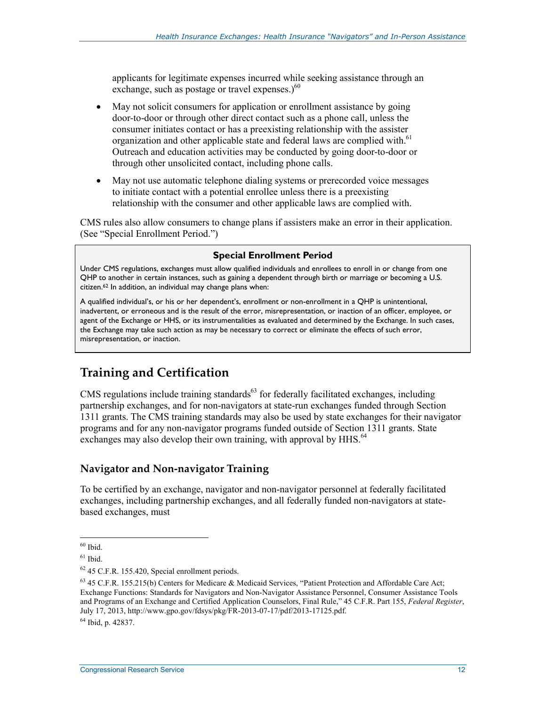applicants for legitimate expenses incurred while seeking assistance through an exchange, such as postage or travel expenses.) $60$ 

- May not solicit consumers for application or enrollment assistance by going door-to-door or through other direct contact such as a phone call, unless the consumer initiates contact or has a preexisting relationship with the assister organization and other applicable state and federal laws are complied with.<sup>61</sup> Outreach and education activities may be conducted by going door-to-door or through other unsolicited contact, including phone calls.
- May not use automatic telephone dialing systems or prerecorded voice messages to initiate contact with a potential enrollee unless there is a preexisting relationship with the consumer and other applicable laws are complied with.

CMS rules also allow consumers to change plans if assisters make an error in their application. (See "Special Enrollment Period.")

#### **Special Enrollment Period**

Under CMS regulations, exchanges must allow qualified individuals and enrollees to enroll in or change from one QHP to another in certain instances, such as gaining a dependent through birth or marriage or becoming a U.S. citizen.62 In addition, an individual may change plans when:

A qualified individual's, or his or her dependent's, enrollment or non-enrollment in a QHP is unintentional, inadvertent, or erroneous and is the result of the error, misrepresentation, or inaction of an officer, employee, or agent of the Exchange or HHS, or its instrumentalities as evaluated and determined by the Exchange. In such cases, the Exchange may take such action as may be necessary to correct or eliminate the effects of such error, misrepresentation, or inaction.

## **Training and Certification**

CMS regulations include training standards $^{63}$  for federally facilitated exchanges, including partnership exchanges, and for non-navigators at state-run exchanges funded through Section 1311 grants. The CMS training standards may also be used by state exchanges for their navigator programs and for any non-navigator programs funded outside of Section 1311 grants. State exchanges may also develop their own training, with approval by HHS.<sup>64</sup>

#### **Navigator and Non-navigator Training**

To be certified by an exchange, navigator and non-navigator personnel at federally facilitated exchanges, including partnership exchanges, and all federally funded non-navigators at statebased exchanges, must

 $60$  Ibid.

 $61$  Ibid.

 $62$  45 C.F.R. 155.420, Special enrollment periods.

<sup>63 45</sup> C.F.R. 155.215(b) Centers for Medicare & Medicaid Services, "Patient Protection and Affordable Care Act; Exchange Functions: Standards for Navigators and Non-Navigator Assistance Personnel, Consumer Assistance Tools and Programs of an Exchange and Certified Application Counselors, Final Rule," 45 C.F.R. Part 155, *Federal Register*, July 17, 2013, http://www.gpo.gov/fdsys/pkg/FR-2013-07-17/pdf/2013-17125.pdf.

<sup>64</sup> Ibid, p. 42837.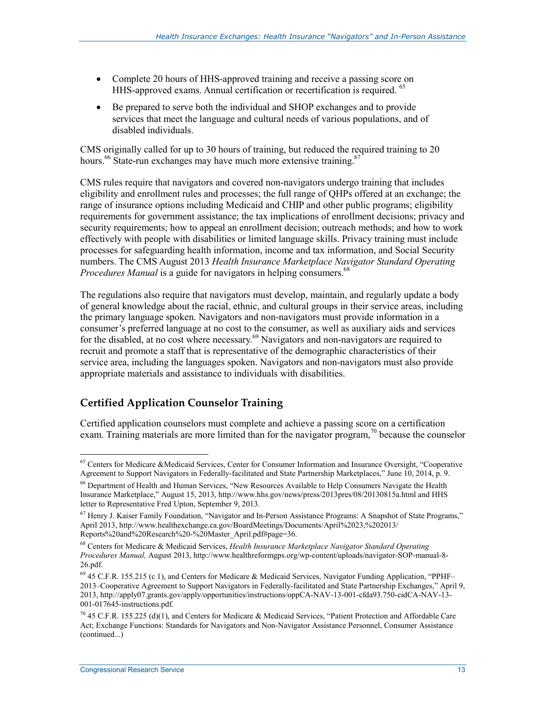- Complete 20 hours of HHS-approved training and receive a passing score on HHS-approved exams. Annual certification or recertification is required. 65
- Be prepared to serve both the individual and SHOP exchanges and to provide services that meet the language and cultural needs of various populations, and of disabled individuals.

CMS originally called for up to 30 hours of training, but reduced the required training to 20 hours.<sup>66</sup> State-run exchanges may have much more extensive training.<sup>67</sup>

CMS rules require that navigators and covered non-navigators undergo training that includes eligibility and enrollment rules and processes; the full range of QHPs offered at an exchange; the range of insurance options including Medicaid and CHIP and other public programs; eligibility requirements for government assistance; the tax implications of enrollment decisions; privacy and security requirements; how to appeal an enrollment decision; outreach methods; and how to work effectively with people with disabilities or limited language skills. Privacy training must include processes for safeguarding health information, income and tax information, and Social Security numbers. The CMS August 2013 *Health Insurance Marketplace Navigator Standard Operating Procedures Manual* is a guide for navigators in helping consumers.<sup>68</sup>

The regulations also require that navigators must develop, maintain, and regularly update a body of general knowledge about the racial, ethnic, and cultural groups in their service areas, including the primary language spoken. Navigators and non-navigators must provide information in a consumer's preferred language at no cost to the consumer, as well as auxiliary aids and services for the disabled, at no cost where necessary.<sup>69</sup> Navigators and non-navigators are required to recruit and promote a staff that is representative of the demographic characteristics of their service area, including the languages spoken. Navigators and non-navigators must also provide appropriate materials and assistance to individuals with disabilities.

### **Certified Application Counselor Training**

Certified application counselors must complete and achieve a passing score on a certification exam. Training materials are more limited than for the navigator program,<sup>70</sup> because the counselor

<sup>&</sup>lt;sup>65</sup> Centers for Medicare &Medicaid Services, Center for Consumer Information and Insurance Oversight, "Cooperative Agreement to Support Navigators in Federally-facilitated and State Partnership Marketplaces," June 10, 2014, p. 9.

<sup>&</sup>lt;sup>66</sup> Department of Health and Human Services, "New Resources Available to Help Consumers Navigate the Health Insurance Marketplace," August 15, 2013, http://www.hhs.gov/news/press/2013pres/08/20130815a.html and HHS letter to Representative Fred Upton, September 9, 2013.

<sup>67</sup> Henry J. Kaiser Family Foundation, "Navigator and In-Person Assistance Programs: A Snapshot of State Programs," April 2013, http://www.healthexchange.ca.gov/BoardMeetings/Documents/April%2023,%202013/ Reports%20and%20Research%20-%20Master\_April.pdf#page=36.

<sup>68</sup> Centers for Medicare & Medicaid Services, *Health Insurance Marketplace Navigator Standard Operating Procedures Manual,* August 2013, http://www.healthreformgps.org/wp-content/uploads/navigator-SOP-manual-8- 26.pdf.

<sup>69 45</sup> C.F.R. 155.215 (c 1), and Centers for Medicare & Medicaid Services, Navigator Funding Application, "PPHF– 2013–Cooperative Agreement to Support Navigators in Federally-facilitated and State Partnership Exchanges," April 9, 2013, http://apply07.grants.gov/apply/opportunities/instructions/oppCA-NAV-13-001-cfda93.750-cidCA-NAV-13- 001-017645-instructions.pdf.

<sup>&</sup>lt;sup>70</sup> 45 C.F.R. 155.225 (d)(1), and Centers for Medicare & Medicaid Services, "Patient Protection and Affordable Care Act; Exchange Functions: Standards for Navigators and Non-Navigator Assistance Personnel, Consumer Assistance (continued...)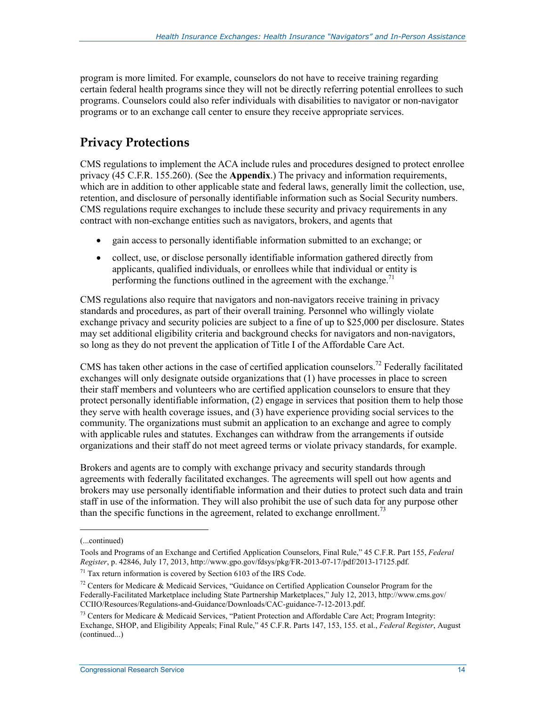program is more limited. For example, counselors do not have to receive training regarding certain federal health programs since they will not be directly referring potential enrollees to such programs. Counselors could also refer individuals with disabilities to navigator or non-navigator programs or to an exchange call center to ensure they receive appropriate services.

## **Privacy Protections**

CMS regulations to implement the ACA include rules and procedures designed to protect enrollee privacy (45 C.F.R. 155.260). (See the **Appendix**.) The privacy and information requirements, which are in addition to other applicable state and federal laws, generally limit the collection, use, retention, and disclosure of personally identifiable information such as Social Security numbers. CMS regulations require exchanges to include these security and privacy requirements in any contract with non-exchange entities such as navigators, brokers, and agents that

- gain access to personally identifiable information submitted to an exchange; or
- collect, use, or disclose personally identifiable information gathered directly from applicants, qualified individuals, or enrollees while that individual or entity is performing the functions outlined in the agreement with the exchange.<sup>71</sup>

CMS regulations also require that navigators and non-navigators receive training in privacy standards and procedures, as part of their overall training. Personnel who willingly violate exchange privacy and security policies are subject to a fine of up to \$25,000 per disclosure. States may set additional eligibility criteria and background checks for navigators and non-navigators, so long as they do not prevent the application of Title I of the Affordable Care Act.

CMS has taken other actions in the case of certified application counselors.<sup>72</sup> Federally facilitated exchanges will only designate outside organizations that (1) have processes in place to screen their staff members and volunteers who are certified application counselors to ensure that they protect personally identifiable information, (2) engage in services that position them to help those they serve with health coverage issues, and (3) have experience providing social services to the community. The organizations must submit an application to an exchange and agree to comply with applicable rules and statutes. Exchanges can withdraw from the arrangements if outside organizations and their staff do not meet agreed terms or violate privacy standards, for example.

Brokers and agents are to comply with exchange privacy and security standards through agreements with federally facilitated exchanges. The agreements will spell out how agents and brokers may use personally identifiable information and their duties to protect such data and train staff in use of the information. They will also prohibit the use of such data for any purpose other than the specific functions in the agreement, related to exchange enrollment.<sup>73</sup>

 $\overline{a}$ 

<sup>(...</sup>continued)

Tools and Programs of an Exchange and Certified Application Counselors, Final Rule," 45 C.F.R. Part 155, *Federal Register*, p. 42846, July 17, 2013, http://www.gpo.gov/fdsys/pkg/FR-2013-07-17/pdf/2013-17125.pdf.

 $71$  Tax return information is covered by Section 6103 of the IRS Code.

<sup>&</sup>lt;sup>72</sup> Centers for Medicare & Medicaid Services, "Guidance on Certified Application Counselor Program for the Federally-Facilitated Marketplace including State Partnership Marketplaces," July 12, 2013, http://www.cms.gov/ CCIIO/Resources/Regulations-and-Guidance/Downloads/CAC-guidance-7-12-2013.pdf.

 $^{73}$  Centers for Medicare & Medicaid Services, "Patient Protection and Affordable Care Act; Program Integrity: Exchange, SHOP, and Eligibility Appeals; Final Rule," 45 C.F.R. Parts 147, 153, 155. et al., *Federal Register*, August (continued...)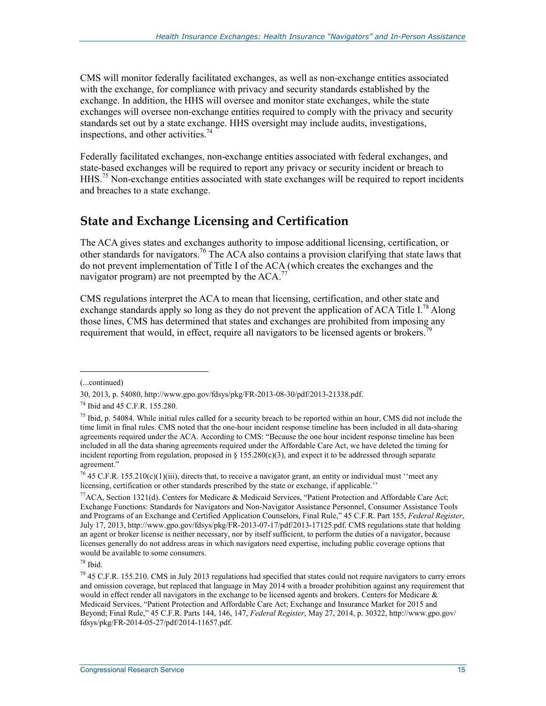CMS will monitor federally facilitated exchanges, as well as non-exchange entities associated with the exchange, for compliance with privacy and security standards established by the exchange. In addition, the HHS will oversee and monitor state exchanges, while the state exchanges will oversee non-exchange entities required to comply with the privacy and security standards set out by a state exchange. HHS oversight may include audits, investigations, inspections, and other activities.<sup>74</sup>

Federally facilitated exchanges, non-exchange entities associated with federal exchanges, and state-based exchanges will be required to report any privacy or security incident or breach to HHS.<sup>75</sup> Non-exchange entities associated with state exchanges will be required to report incidents and breaches to a state exchange.

## **State and Exchange Licensing and Certification**

The ACA gives states and exchanges authority to impose additional licensing, certification, or other standards for navigators.76 The ACA also contains a provision clarifying that state laws that do not prevent implementation of Title I of the ACA (which creates the exchanges and the navigator program) are not preempted by the  $ACA$ .<sup>77</sup>

CMS regulations interpret the ACA to mean that licensing, certification, and other state and exchange standards apply so long as they do not prevent the application of ACA Title I.<sup>78</sup> Along those lines, CMS has determined that states and exchanges are prohibited from imposing any requirement that would, in effect, require all navigators to be licensed agents or brokers.<sup>79</sup>

<sup>(...</sup>continued)

<sup>30, 2013,</sup> p. 54080, http://www.gpo.gov/fdsys/pkg/FR-2013-08-30/pdf/2013-21338.pdf.

<sup>74</sup> Ibid and 45 C.F.R. 155.280.

 $75$  Ibid, p. 54084. While initial rules called for a security breach to be reported within an hour, CMS did not include the time limit in final rules. CMS noted that the one-hour incident response timeline has been included in all data-sharing agreements required under the ACA. According to CMS: "Because the one hour incident response timeline has been included in all the data sharing agreements required under the Affordable Care Act, we have deleted the timing for incident reporting from regulation, proposed in § 155.280(c)(3), and expect it to be addressed through separate agreement."

<sup>&</sup>lt;sup>76</sup> 45 C.F.R. 155.210(c)(1)(iii), directs that, to receive a navigator grant, an entity or individual must "meet any licensing, certification or other standards prescribed by the state or exchange, if applicable.''

<sup>&</sup>lt;sup>77</sup>ACA, Section 1321(d). Centers for Medicare & Medicaid Services, "Patient Protection and Affordable Care Act; Exchange Functions: Standards for Navigators and Non-Navigator Assistance Personnel, Consumer Assistance Tools and Programs of an Exchange and Certified Application Counselors, Final Rule," 45 C.F.R. Part 155, *Federal Register*, July 17, 2013, http://www.gpo.gov/fdsys/pkg/FR-2013-07-17/pdf/2013-17125.pdf. CMS regulations state that holding an agent or broker license is neither necessary, nor by itself sufficient, to perform the duties of a navigator, because licenses generally do not address areas in which navigators need expertise, including public coverage options that would be available to some consumers.

<sup>78</sup> Ibid.

<sup>&</sup>lt;sup>79</sup> 45 C.F.R. 155.210. CMS in July 2013 regulations had specified that states could not require navigators to carry errors and omission coverage, but replaced that language in May 2014 with a broader prohibition against any requirement that would in effect render all navigators in the exchange to be licensed agents and brokers. Centers for Medicare  $\&$ Medicaid Services, "Patient Protection and Affordable Care Act; Exchange and Insurance Market for 2015 and Beyond; Final Rule," 45 C.F.R. Parts 144, 146, 147, *Federal Register*, May 27, 2014, p. 30322, http://www.gpo.gov/ fdsys/pkg/FR-2014-05-27/pdf/2014-11657.pdf.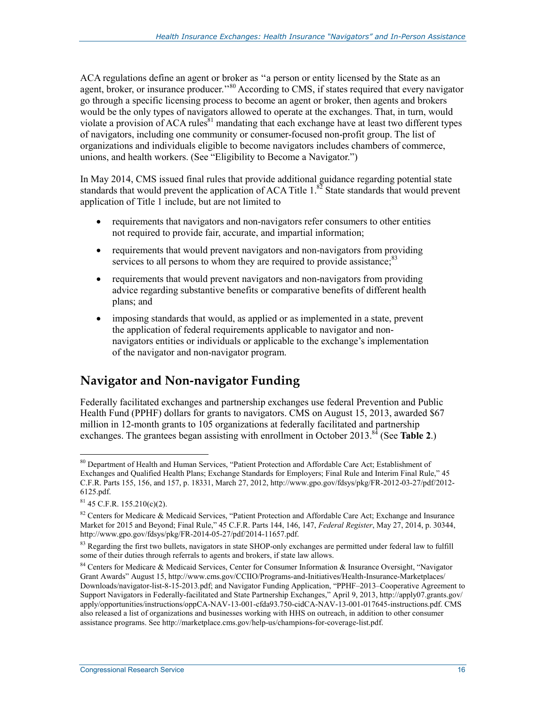ACA regulations define an agent or broker as ''a person or entity licensed by the State as an agent, broker, or insurance producer."<sup>80</sup> According to CMS, if states required that every navigator go through a specific licensing process to become an agent or broker, then agents and brokers would be the only types of navigators allowed to operate at the exchanges. That, in turn, would violate a provision of ACA rules<sup>81</sup> mandating that each exchange have at least two different types of navigators, including one community or consumer-focused non-profit group. The list of organizations and individuals eligible to become navigators includes chambers of commerce, unions, and health workers. (See "Eligibility to Become a Navigator.")

In May 2014, CMS issued final rules that provide additional guidance regarding potential state standards that would prevent the application of ACA Title  $1<sup>82</sup>$  State standards that would prevent application of Title 1 include, but are not limited to

- requirements that navigators and non-navigators refer consumers to other entities not required to provide fair, accurate, and impartial information;
- requirements that would prevent navigators and non-navigators from providing services to all persons to whom they are required to provide assistance.<sup>83</sup>
- requirements that would prevent navigators and non-navigators from providing advice regarding substantive benefits or comparative benefits of different health plans; and
- imposing standards that would, as applied or as implemented in a state, prevent the application of federal requirements applicable to navigator and nonnavigators entities or individuals or applicable to the exchange's implementation of the navigator and non-navigator program.

## **Navigator and Non-navigator Funding**

Federally facilitated exchanges and partnership exchanges use federal Prevention and Public Health Fund (PPHF) dollars for grants to navigators. CMS on August 15, 2013, awarded \$67 million in 12-month grants to 105 organizations at federally facilitated and partnership exchanges. The grantees began assisting with enrollment in October 2013.<sup>84</sup> (See Table 2.)

<sup>&</sup>lt;sup>80</sup> Department of Health and Human Services, "Patient Protection and Affordable Care Act; Establishment of Exchanges and Qualified Health Plans; Exchange Standards for Employers; Final Rule and Interim Final Rule," 45 C.F.R. Parts 155, 156, and 157, p. 18331, March 27, 2012, http://www.gpo.gov/fdsys/pkg/FR-2012-03-27/pdf/2012- 6125.pdf.

 $81$  45 C.F.R. 155.210(c)(2).

<sup>&</sup>lt;sup>82</sup> Centers for Medicare & Medicaid Services, "Patient Protection and Affordable Care Act; Exchange and Insurance Market for 2015 and Beyond; Final Rule," 45 C.F.R. Parts 144, 146, 147, *Federal Register*, May 27, 2014, p. 30344, http://www.gpo.gov/fdsys/pkg/FR-2014-05-27/pdf/2014-11657.pdf.

<sup>&</sup>lt;sup>83</sup> Regarding the first two bullets, navigators in state SHOP-only exchanges are permitted under federal law to fulfill some of their duties through referrals to agents and brokers, if state law allows.

<sup>&</sup>lt;sup>84</sup> Centers for Medicare & Medicaid Services, Center for Consumer Information & Insurance Oversight, "Navigator Grant Awards" August 15, http://www.cms.gov/CCIIO/Programs-and-Initiatives/Health-Insurance-Marketplaces/ Downloads/navigator-list-8-15-2013.pdf; and Navigator Funding Application, "PPHF–2013–Cooperative Agreement to Support Navigators in Federally-facilitated and State Partnership Exchanges," April 9, 2013, http://apply07.grants.gov/ apply/opportunities/instructions/oppCA-NAV-13-001-cfda93.750-cidCA-NAV-13-001-017645-instructions.pdf. CMS also released a list of organizations and businesses working with HHS on outreach, in addition to other consumer assistance programs. See http://marketplace.cms.gov/help-us/champions-for-coverage-list.pdf.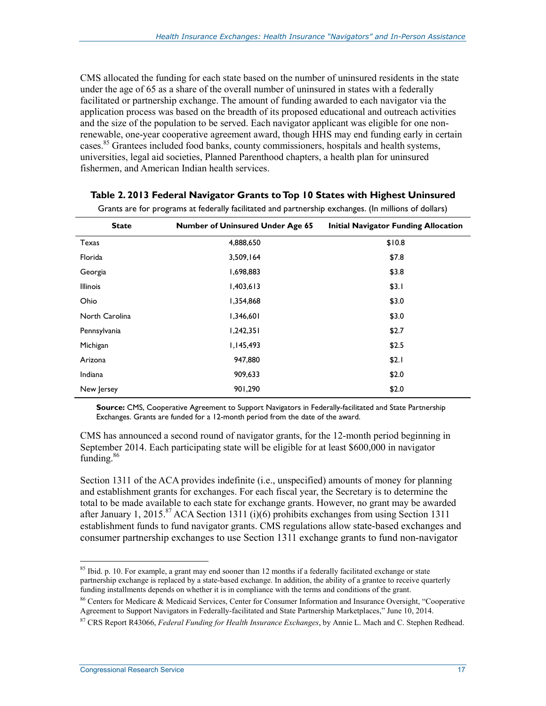CMS allocated the funding for each state based on the number of uninsured residents in the state under the age of 65 as a share of the overall number of uninsured in states with a federally facilitated or partnership exchange. The amount of funding awarded to each navigator via the application process was based on the breadth of its proposed educational and outreach activities and the size of the population to be served. Each navigator applicant was eligible for one nonrenewable, one-year cooperative agreement award, though HHS may end funding early in certain cases.<sup>85</sup> Grantees included food banks, county commissioners, hospitals and health systems, universities, legal aid societies, Planned Parenthood chapters, a health plan for uninsured fishermen, and American Indian health services.

| <b>State</b>    | <b>Number of Uninsured Under Age 65</b> | <b>Initial Navigator Funding Allocation</b> |
|-----------------|-----------------------------------------|---------------------------------------------|
| Texas           | 4,888,650                               | \$10.8                                      |
| Florida         | 3,509,164                               | \$7.8                                       |
| Georgia         | 1,698,883                               | \$3.8                                       |
| <b>Illinois</b> | 1,403,613                               | \$3.1                                       |
| Ohio            | 1,354,868                               | \$3.0                                       |
| North Carolina  | 1,346,601                               | \$3.0                                       |
| Pennsylvania    | 1,242,351                               | \$2.7                                       |
| Michigan        | 1,145,493                               | \$2.5                                       |
| Arizona         | 947,880                                 | \$2.1                                       |
| Indiana         | 909,633                                 | \$2.0                                       |
| New Jersey      | 901,290                                 | \$2.0                                       |

#### **Table 2. 2013 Federal Navigator Grants to Top 10 States with Highest Uninsured**

Grants are for programs at federally facilitated and partnership exchanges. (In millions of dollars)

**Source:** CMS, Cooperative Agreement to Support Navigators in Federally-facilitated and State Partnership Exchanges. Grants are funded for a 12-month period from the date of the award.

CMS has announced a second round of navigator grants, for the 12-month period beginning in September 2014. Each participating state will be eligible for at least \$600,000 in navigator funding.<sup>86</sup>

Section 1311 of the ACA provides indefinite (i.e., unspecified) amounts of money for planning and establishment grants for exchanges. For each fiscal year, the Secretary is to determine the total to be made available to each state for exchange grants. However, no grant may be awarded after January 1, 2015.<sup>87</sup> ACA Section 1311 (i)(6) prohibits exchanges from using Section 1311 establishment funds to fund navigator grants. CMS regulations allow state-based exchanges and consumer partnership exchanges to use Section 1311 exchange grants to fund non-navigator

<sup>&</sup>lt;sup>85</sup> Ibid. p. 10. For example, a grant may end sooner than 12 months if a federally facilitated exchange or state partnership exchange is replaced by a state-based exchange. In addition, the ability of a grantee to receive quarterly funding installments depends on whether it is in compliance with the terms and conditions of the grant.

<sup>&</sup>lt;sup>86</sup> Centers for Medicare & Medicaid Services, Center for Consumer Information and Insurance Oversight, "Cooperative Agreement to Support Navigators in Federally-facilitated and State Partnership Marketplaces," June 10, 2014.

<sup>87</sup> CRS Report R43066, *Federal Funding for Health Insurance Exchanges*, by Annie L. Mach and C. Stephen Redhead.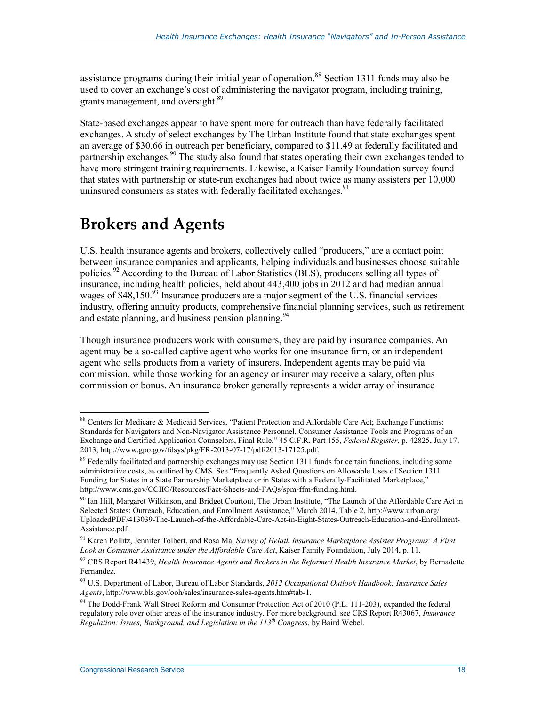assistance programs during their initial year of operation.<sup>88</sup> Section 1311 funds may also be used to cover an exchange's cost of administering the navigator program, including training, grants management, and oversight.<sup>89</sup>

State-based exchanges appear to have spent more for outreach than have federally facilitated exchanges. A study of select exchanges by The Urban Institute found that state exchanges spent an average of \$30.66 in outreach per beneficiary, compared to \$11.49 at federally facilitated and partnership exchanges.<sup>90</sup> The study also found that states operating their own exchanges tended to have more stringent training requirements. Likewise, a Kaiser Family Foundation survey found that states with partnership or state-run exchanges had about twice as many assisters per 10,000 uninsured consumers as states with federally facilitated exchanges.<sup>91</sup>

## **Brokers and Agents**

U.S. health insurance agents and brokers, collectively called "producers," are a contact point between insurance companies and applicants, helping individuals and businesses choose suitable policies.<sup>92</sup> According to the Bureau of Labor Statistics (BLS), producers selling all types of insurance, including health policies, held about 443,400 jobs in 2012 and had median annual wages of  $$48,150.<sup>93</sup>$  Insurance producers are a major segment of the U.S. financial services industry, offering annuity products, comprehensive financial planning services, such as retirement and estate planning, and business pension planning.  $94$ 

Though insurance producers work with consumers, they are paid by insurance companies. An agent may be a so-called captive agent who works for one insurance firm, or an independent agent who sells products from a variety of insurers. Independent agents may be paid via commission, while those working for an agency or insurer may receive a salary, often plus commission or bonus. An insurance broker generally represents a wider array of insurance

<u>.</u>

<sup>88</sup> Centers for Medicare & Medicaid Services, "Patient Protection and Affordable Care Act; Exchange Functions: Standards for Navigators and Non-Navigator Assistance Personnel, Consumer Assistance Tools and Programs of an Exchange and Certified Application Counselors, Final Rule," 45 C.F.R. Part 155, *Federal Register*, p. 42825, July 17, 2013, http://www.gpo.gov/fdsys/pkg/FR-2013-07-17/pdf/2013-17125.pdf.

<sup>&</sup>lt;sup>89</sup> Federally facilitated and partnership exchanges may use Section 1311 funds for certain functions, including some administrative costs, as outlined by CMS. See "Frequently Asked Questions on Allowable Uses of Section 1311 Funding for States in a State Partnership Marketplace or in States with a Federally-Facilitated Marketplace," http://www.cms.gov/CCIIO/Resources/Fact-Sheets-and-FAQs/spm-ffm-funding.html.

<sup>&</sup>lt;sup>90</sup> Ian Hill, Margaret Wilkinson, and Bridget Courtout, The Urban Institute, "The Launch of the Affordable Care Act in Selected States: Outreach, Education, and Enrollment Assistance," March 2014, Table 2, http://www.urban.org/ UploadedPDF/413039-The-Launch-of-the-Affordable-Care-Act-in-Eight-States-Outreach-Education-and-Enrollment-Assistance.pdf.

<sup>91</sup> Karen Pollitz, Jennifer Tolbert, and Rosa Ma, *Survey of Helath Insurance Marketplace Assister Programs: A First Look at Consumer Assistance under the Affordable Care Act*, Kaiser Family Foundation, July 2014, p. 11.

<sup>&</sup>lt;sup>92</sup> CRS Report R41439, *Health Insurance Agents and Brokers in the Reformed Health Insurance Market*, by Bernadette Fernandez.

<sup>93</sup> U.S. Department of Labor, Bureau of Labor Standards, *2012 Occupational Outlook Handbook: Insurance Sales Agents*, http://www.bls.gov/ooh/sales/insurance-sales-agents.htm#tab-1.

<sup>&</sup>lt;sup>94</sup> The Dodd-Frank Wall Street Reform and Consumer Protection Act of 2010 (P.L. 111-203), expanded the federal regulatory role over other areas of the insurance industry. For more background, see CRS Report R43067, *Insurance Regulation: Issues, Background, and Legislation in the 113th Congress*, by Baird Webel.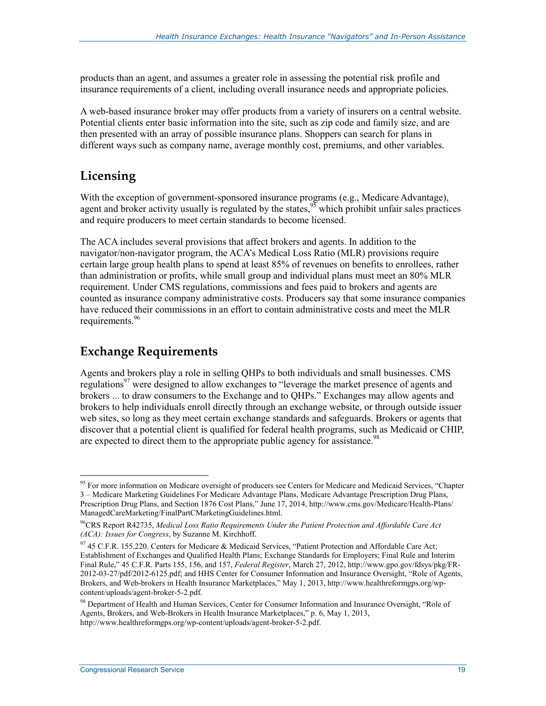products than an agent, and assumes a greater role in assessing the potential risk profile and insurance requirements of a client, including overall insurance needs and appropriate policies.

A web-based insurance broker may offer products from a variety of insurers on a central website. Potential clients enter basic information into the site, such as zip code and family size, and are then presented with an array of possible insurance plans. Shoppers can search for plans in different ways such as company name, average monthly cost, premiums, and other variables.

## **Licensing**

With the exception of government-sponsored insurance programs (e.g., Medicare Advantage), agent and broker activity usually is regulated by the states,  $95$  which prohibit unfair sales practices and require producers to meet certain standards to become licensed.

The ACA includes several provisions that affect brokers and agents. In addition to the navigator/non-navigator program, the ACA's Medical Loss Ratio (MLR) provisions require certain large group health plans to spend at least 85% of revenues on benefits to enrollees, rather than administration or profits, while small group and individual plans must meet an 80% MLR requirement. Under CMS regulations, commissions and fees paid to brokers and agents are counted as insurance company administrative costs. Producers say that some insurance companies have reduced their commissions in an effort to contain administrative costs and meet the MLR requirements.<sup>96</sup>

## **Exchange Requirements**

Agents and brokers play a role in selling QHPs to both individuals and small businesses. CMS regulations<sup>97</sup> were designed to allow exchanges to "leverage the market presence of agents and brokers ... to draw consumers to the Exchange and to QHPs." Exchanges may allow agents and brokers to help individuals enroll directly through an exchange website, or through outside issuer web sites, so long as they meet certain exchange standards and safeguards. Brokers or agents that discover that a potential client is qualified for federal health programs, such as Medicaid or CHIP, are expected to direct them to the appropriate public agency for assistance.<sup>98</sup>

<sup>1</sup> <sup>95</sup> For more information on Medicare oversight of producers see Centers for Medicare and Medicaid Services, "Chapter 3 – Medicare Marketing Guidelines For Medicare Advantage Plans, Medicare Advantage Prescription Drug Plans, Prescription Drug Plans, and Section 1876 Cost Plans," June 17, 2014, http://www.cms.gov/Medicare/Health-Plans/ ManagedCareMarketing/FinalPartCMarketingGuidelines.html.

<sup>96</sup>CRS Report R42735, *Medical Loss Ratio Requirements Under the Patient Protection and Affordable Care Act (ACA): Issues for Congress*, by Suzanne M. Kirchhoff.

<sup>97 45</sup> C.F.R. 155.220. Centers for Medicare & Medicaid Services, "Patient Protection and Affordable Care Act; Establishment of Exchanges and Qualified Health Plans; Exchange Standards for Employers; Final Rule and Interim Final Rule," 45 C.F.R. Parts 155, 156, and 157, *Federal Register*, March 27, 2012, http://www.gpo.gov/fdsys/pkg/FR-2012-03-27/pdf/2012-6125.pdf; and HHS Center for Consumer Information and Insurance Oversight, "Role of Agents, Brokers, and Web-brokers in Health Insurance Marketplaces," May 1, 2013, http://www.healthreformgps.org/wpcontent/uploads/agent-broker-5-2.pdf.

<sup>98</sup> Department of Health and Human Services, Center for Consumer Information and Insurance Oversight, "Role of Agents, Brokers, and Web-Brokers in Health Insurance Marketplaces," p. 6, May 1, 2013, http://www.healthreformgps.org/wp-content/uploads/agent-broker-5-2.pdf.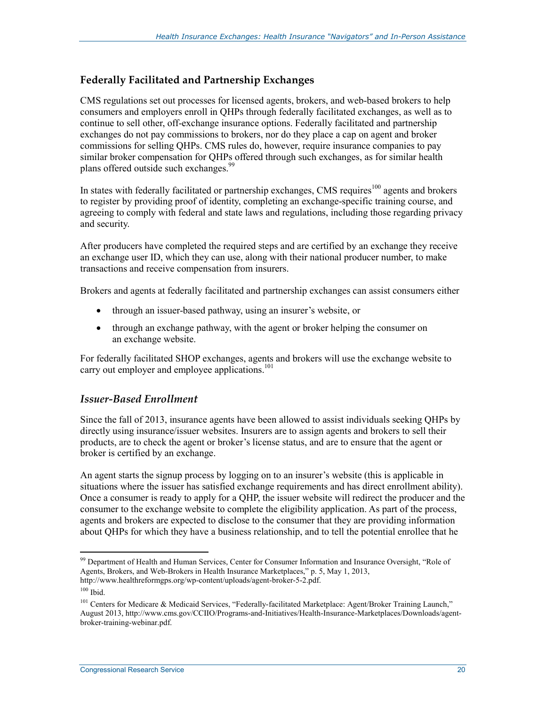#### **Federally Facilitated and Partnership Exchanges**

CMS regulations set out processes for licensed agents, brokers, and web-based brokers to help consumers and employers enroll in QHPs through federally facilitated exchanges, as well as to continue to sell other, off-exchange insurance options. Federally facilitated and partnership exchanges do not pay commissions to brokers, nor do they place a cap on agent and broker commissions for selling QHPs. CMS rules do, however, require insurance companies to pay similar broker compensation for QHPs offered through such exchanges, as for similar health plans offered outside such exchanges.<sup>99</sup>

In states with federally facilitated or partnership exchanges, CMS requires<sup>100</sup> agents and brokers to register by providing proof of identity, completing an exchange-specific training course, and agreeing to comply with federal and state laws and regulations, including those regarding privacy and security.

After producers have completed the required steps and are certified by an exchange they receive an exchange user ID, which they can use, along with their national producer number, to make transactions and receive compensation from insurers.

Brokers and agents at federally facilitated and partnership exchanges can assist consumers either

- through an issuer-based pathway, using an insurer's website, or
- through an exchange pathway, with the agent or broker helping the consumer on an exchange website.

For federally facilitated SHOP exchanges, agents and brokers will use the exchange website to carry out employer and employee applications.<sup>101</sup>

#### *Issuer-Based Enrollment*

Since the fall of 2013, insurance agents have been allowed to assist individuals seeking QHPs by directly using insurance/issuer websites. Insurers are to assign agents and brokers to sell their products, are to check the agent or broker's license status, and are to ensure that the agent or broker is certified by an exchange.

An agent starts the signup process by logging on to an insurer's website (this is applicable in situations where the issuer has satisfied exchange requirements and has direct enrollment ability). Once a consumer is ready to apply for a QHP, the issuer website will redirect the producer and the consumer to the exchange website to complete the eligibility application. As part of the process, agents and brokers are expected to disclose to the consumer that they are providing information about QHPs for which they have a business relationship, and to tell the potential enrollee that he

<sup>1</sup> <sup>99</sup> Department of Health and Human Services, Center for Consumer Information and Insurance Oversight, "Role of Agents, Brokers, and Web-Brokers in Health Insurance Marketplaces," p. 5, May 1, 2013, http://www.healthreformgps.org/wp-content/uploads/agent-broker-5-2.pdf.

 $100$  Ibid.

<sup>&</sup>lt;sup>101</sup> Centers for Medicare & Medicaid Services, "Federally-facilitated Marketplace: Agent/Broker Training Launch," August 2013, http://www.cms.gov/CCIIO/Programs-and-Initiatives/Health-Insurance-Marketplaces/Downloads/agentbroker-training-webinar.pdf.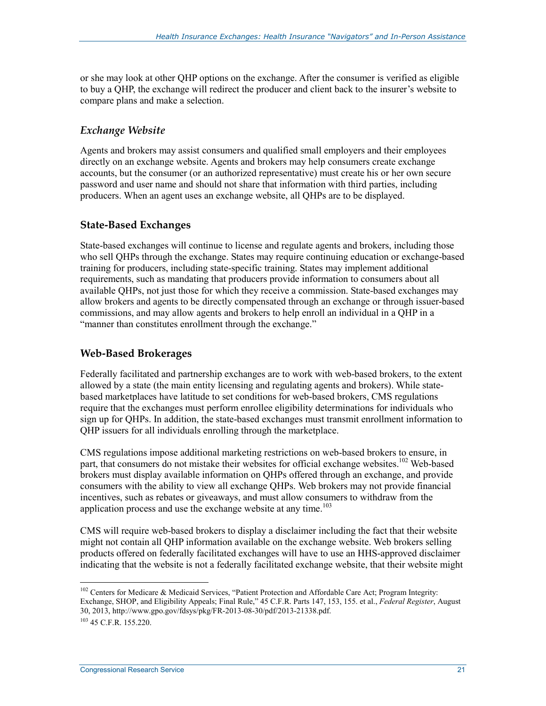or she may look at other QHP options on the exchange. After the consumer is verified as eligible to buy a QHP, the exchange will redirect the producer and client back to the insurer's website to compare plans and make a selection.

#### *Exchange Website*

Agents and brokers may assist consumers and qualified small employers and their employees directly on an exchange website. Agents and brokers may help consumers create exchange accounts, but the consumer (or an authorized representative) must create his or her own secure password and user name and should not share that information with third parties, including producers. When an agent uses an exchange website, all QHPs are to be displayed.

#### **State-Based Exchanges**

State-based exchanges will continue to license and regulate agents and brokers, including those who sell QHPs through the exchange. States may require continuing education or exchange-based training for producers, including state-specific training. States may implement additional requirements, such as mandating that producers provide information to consumers about all available QHPs, not just those for which they receive a commission. State-based exchanges may allow brokers and agents to be directly compensated through an exchange or through issuer-based commissions, and may allow agents and brokers to help enroll an individual in a QHP in a "manner than constitutes enrollment through the exchange."

#### **Web-Based Brokerages**

Federally facilitated and partnership exchanges are to work with web-based brokers, to the extent allowed by a state (the main entity licensing and regulating agents and brokers). While statebased marketplaces have latitude to set conditions for web-based brokers, CMS regulations require that the exchanges must perform enrollee eligibility determinations for individuals who sign up for QHPs. In addition, the state-based exchanges must transmit enrollment information to QHP issuers for all individuals enrolling through the marketplace.

CMS regulations impose additional marketing restrictions on web-based brokers to ensure, in part, that consumers do not mistake their websites for official exchange websites.<sup>102</sup> Web-based brokers must display available information on QHPs offered through an exchange, and provide consumers with the ability to view all exchange QHPs. Web brokers may not provide financial incentives, such as rebates or giveaways, and must allow consumers to withdraw from the application process and use the exchange website at any time.<sup>103</sup>

CMS will require web-based brokers to display a disclaimer including the fact that their website might not contain all QHP information available on the exchange website. Web brokers selling products offered on federally facilitated exchanges will have to use an HHS-approved disclaimer indicating that the website is not a federally facilitated exchange website, that their website might

<sup>1</sup> <sup>102</sup> Centers for Medicare & Medicaid Services, "Patient Protection and Affordable Care Act; Program Integrity: Exchange, SHOP, and Eligibility Appeals; Final Rule," 45 C.F.R. Parts 147, 153, 155. et al., *Federal Register*, August 30, 2013, http://www.gpo.gov/fdsys/pkg/FR-2013-08-30/pdf/2013-21338.pdf.

 $103$  45 C.F.R. 155.220.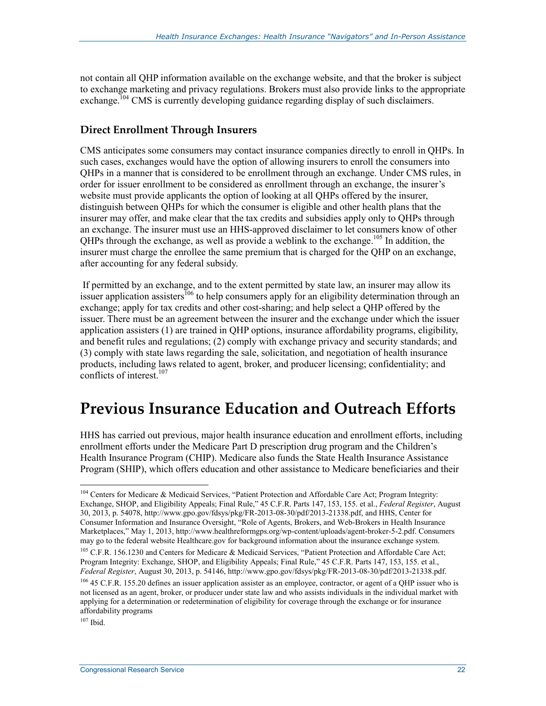not contain all QHP information available on the exchange website, and that the broker is subject to exchange marketing and privacy regulations. Brokers must also provide links to the appropriate exchange.<sup>104</sup> CMS is currently developing guidance regarding display of such disclaimers.

#### **Direct Enrollment Through Insurers**

CMS anticipates some consumers may contact insurance companies directly to enroll in QHPs. In such cases, exchanges would have the option of allowing insurers to enroll the consumers into QHPs in a manner that is considered to be enrollment through an exchange. Under CMS rules, in order for issuer enrollment to be considered as enrollment through an exchange, the insurer's website must provide applicants the option of looking at all QHPs offered by the insurer, distinguish between QHPs for which the consumer is eligible and other health plans that the insurer may offer, and make clear that the tax credits and subsidies apply only to QHPs through an exchange. The insurer must use an HHS-approved disclaimer to let consumers know of other QHPs through the exchange, as well as provide a weblink to the exchange.<sup>105</sup> In addition, the insurer must charge the enrollee the same premium that is charged for the QHP on an exchange, after accounting for any federal subsidy.

 If permitted by an exchange, and to the extent permitted by state law, an insurer may allow its issuer application assisters<sup>106</sup> to help consumers apply for an eligibility determination through an exchange; apply for tax credits and other cost-sharing; and help select a QHP offered by the issuer. There must be an agreement between the insurer and the exchange under which the issuer application assisters (1) are trained in QHP options, insurance affordability programs, eligibility, and benefit rules and regulations; (2) comply with exchange privacy and security standards; and (3) comply with state laws regarding the sale, solicitation, and negotiation of health insurance products, including laws related to agent, broker, and producer licensing; confidentiality; and conflicts of interest.<sup>107</sup>

## **Previous Insurance Education and Outreach Efforts**

HHS has carried out previous, major health insurance education and enrollment efforts, including enrollment efforts under the Medicare Part D prescription drug program and the Children's Health Insurance Program (CHIP). Medicare also funds the State Health Insurance Assistance Program (SHIP), which offers education and other assistance to Medicare beneficiaries and their

 $107$  Ibid.

<u>.</u>

<sup>&</sup>lt;sup>104</sup> Centers for Medicare & Medicaid Services, "Patient Protection and Affordable Care Act; Program Integrity: Exchange, SHOP, and Eligibility Appeals; Final Rule," 45 C.F.R. Parts 147, 153, 155. et al., *Federal Register*, August 30, 2013, p. 54078, http://www.gpo.gov/fdsys/pkg/FR-2013-08-30/pdf/2013-21338.pdf, and HHS, Center for Consumer Information and Insurance Oversight, "Role of Agents, Brokers, and Web-Brokers in Health Insurance Marketplaces," May 1, 2013, http://www.healthreformgps.org/wp-content/uploads/agent-broker-5-2.pdf. Consumers may go to the federal website Healthcare.gov for background information about the insurance exchange system.

<sup>&</sup>lt;sup>105</sup> C.F.R. 156.1230 and Centers for Medicare & Medicaid Services, "Patient Protection and Affordable Care Act; Program Integrity: Exchange, SHOP, and Eligibility Appeals; Final Rule," 45 C.F.R. Parts 147, 153, 155. et al., *Federal Register*, August 30, 2013, p. 54146, http://www.gpo.gov/fdsys/pkg/FR-2013-08-30/pdf/2013-21338.pdf.

<sup>&</sup>lt;sup>106</sup> 45 C.F.R. 155.20 defines an issuer application assister as an employee, contractor, or agent of a QHP issuer who is not licensed as an agent, broker, or producer under state law and who assists individuals in the individual market with applying for a determination or redetermination of eligibility for coverage through the exchange or for insurance affordability programs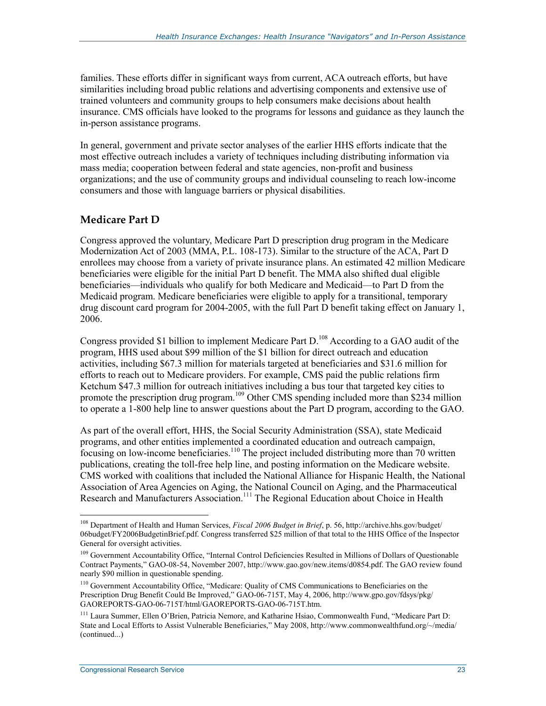families. These efforts differ in significant ways from current, ACA outreach efforts, but have similarities including broad public relations and advertising components and extensive use of trained volunteers and community groups to help consumers make decisions about health insurance. CMS officials have looked to the programs for lessons and guidance as they launch the in-person assistance programs.

In general, government and private sector analyses of the earlier HHS efforts indicate that the most effective outreach includes a variety of techniques including distributing information via mass media; cooperation between federal and state agencies, non-profit and business organizations; and the use of community groups and individual counseling to reach low-income consumers and those with language barriers or physical disabilities.

### **Medicare Part D**

Congress approved the voluntary, Medicare Part D prescription drug program in the Medicare Modernization Act of 2003 (MMA, P.L. 108-173). Similar to the structure of the ACA, Part D enrollees may choose from a variety of private insurance plans. An estimated 42 million Medicare beneficiaries were eligible for the initial Part D benefit. The MMA also shifted dual eligible beneficiaries—individuals who qualify for both Medicare and Medicaid—to Part D from the Medicaid program. Medicare beneficiaries were eligible to apply for a transitional, temporary drug discount card program for 2004-2005, with the full Part D benefit taking effect on January 1, 2006.

Congress provided \$1 billion to implement Medicare Part D.<sup>108</sup> According to a GAO audit of the program, HHS used about \$99 million of the \$1 billion for direct outreach and education activities, including \$67.3 million for materials targeted at beneficiaries and \$31.6 million for efforts to reach out to Medicare providers. For example, CMS paid the public relations firm Ketchum \$47.3 million for outreach initiatives including a bus tour that targeted key cities to promote the prescription drug program.<sup>109</sup> Other CMS spending included more than \$234 million to operate a 1-800 help line to answer questions about the Part D program, according to the GAO.

As part of the overall effort, HHS, the Social Security Administration (SSA), state Medicaid programs, and other entities implemented a coordinated education and outreach campaign, focusing on low-income beneficiaries.<sup>110</sup> The project included distributing more than 70 written publications, creating the toll-free help line, and posting information on the Medicare website. CMS worked with coalitions that included the National Alliance for Hispanic Health, the National Association of Area Agencies on Aging, the National Council on Aging, and the Pharmaceutical Research and Manufacturers Association.<sup>111</sup> The Regional Education about Choice in Health

<u>.</u>

<sup>108</sup> Department of Health and Human Services, *Fiscal 2006 Budget in Brief*, p. 56, http://archive.hhs.gov/budget/ 06budget/FY2006BudgetinBrief.pdf. Congress transferred \$25 million of that total to the HHS Office of the Inspector General for oversight activities.

<sup>&</sup>lt;sup>109</sup> Government Accountability Office, "Internal Control Deficiencies Resulted in Millions of Dollars of Questionable Contract Payments," GAO-08-54, November 2007, http://www.gao.gov/new.items/d0854.pdf. The GAO review found nearly \$90 million in questionable spending.

<sup>110</sup> Government Accountability Office, "Medicare: Quality of CMS Communications to Beneficiaries on the Prescription Drug Benefit Could Be Improved," GAO-06-715T, May 4, 2006, http://www.gpo.gov/fdsys/pkg/ GAOREPORTS-GAO-06-715T/html/GAOREPORTS-GAO-06-715T.htm.

<sup>111</sup> Laura Summer, Ellen O'Brien, Patricia Nemore, and Katharine Hsiao, Commonwealth Fund, "Medicare Part D: State and Local Efforts to Assist Vulnerable Beneficiaries," May 2008, http://www.commonwealthfund.org/~/media/ (continued...)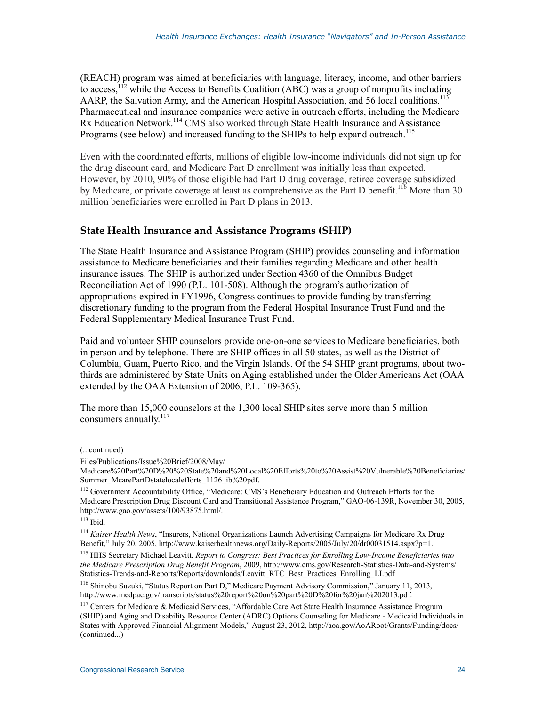(REACH) program was aimed at beneficiaries with language, literacy, income, and other barriers to access,  $12$  while the Access to Benefits Coalition (ABC) was a group of nonprofits including AARP, the Salvation Army, and the American Hospital Association, and 56 local coalitions.<sup>113</sup> Pharmaceutical and insurance companies were active in outreach efforts, including the Medicare Rx Education Network.<sup>114</sup> CMS also worked through State Health Insurance and Assistance Programs (see below) and increased funding to the SHIPs to help expand outreach.<sup>115</sup>

Even with the coordinated efforts, millions of eligible low-income individuals did not sign up for the drug discount card, and Medicare Part D enrollment was initially less than expected. However, by 2010, 90% of those eligible had Part D drug coverage, retiree coverage subsidized by Medicare, or private coverage at least as comprehensive as the Part D benefit.<sup>116</sup> More than 30 million beneficiaries were enrolled in Part D plans in 2013.

#### **State Health Insurance and Assistance Programs (SHIP)**

The State Health Insurance and Assistance Program (SHIP) provides counseling and information assistance to Medicare beneficiaries and their families regarding Medicare and other health insurance issues. The SHIP is authorized under Section 4360 of the Omnibus Budget Reconciliation Act of 1990 (P.L. 101-508). Although the program's authorization of appropriations expired in FY1996, Congress continues to provide funding by transferring discretionary funding to the program from the Federal Hospital Insurance Trust Fund and the Federal Supplementary Medical Insurance Trust Fund.

Paid and volunteer SHIP counselors provide one-on-one services to Medicare beneficiaries, both in person and by telephone. There are SHIP offices in all 50 states, as well as the District of Columbia, Guam, Puerto Rico, and the Virgin Islands. Of the 54 SHIP grant programs, about twothirds are administered by State Units on Aging established under the Older Americans Act (OAA extended by the OAA Extension of 2006, P.L. 109-365).

The more than 15,000 counselors at the 1,300 local SHIP sites serve more than 5 million consumers annually. $117$ 

1

115 HHS Secretary Michael Leavitt, *Report to Congress: Best Practices for Enrolling Low-Income Beneficiaries into the Medicare Prescription Drug Benefit Program*, 2009, http://www.cms.gov/Research-Statistics-Data-and-Systems/ Statistics-Trends-and-Reports/Reports/downloads/Leavitt\_RTC\_Best\_Practices\_Enrolling\_LI.pdf

<sup>(...</sup>continued)

Files/Publications/Issue%20Brief/2008/May/

Medicare%20Part%20D%20%20State%20and%20Local%20Efforts%20to%20Assist%20Vulnerable%20Beneficiaries/ Summer\_McarePartDstatelocalefforts\_1126\_ib%20pdf.

<sup>&</sup>lt;sup>112</sup> Government Accountability Office, "Medicare: CMS's Beneficiary Education and Outreach Efforts for the Medicare Prescription Drug Discount Card and Transitional Assistance Program," GAO-06-139R, November 30, 2005, http://www.gao.gov/assets/100/93875.html/.

 $113$  Ibid.

<sup>114</sup> *Kaiser Health News*, "Insurers, National Organizations Launch Advertising Campaigns for Medicare Rx Drug Benefit," July 20, 2005, http://www.kaiserhealthnews.org/Daily-Reports/2005/July/20/dr00031514.aspx?p=1.

<sup>116</sup> Shinobu Suzuki, "Status Report on Part D," Medicare Payment Advisory Commission," January 11, 2013, http://www.medpac.gov/transcripts/status%20report%20on%20part%20D%20for%20jan%202013.pdf.

<sup>&</sup>lt;sup>117</sup> Centers for Medicare & Medicaid Services, "Affordable Care Act State Health Insurance Assistance Program (SHIP) and Aging and Disability Resource Center (ADRC) Options Counseling for Medicare - Medicaid Individuals in States with Approved Financial Alignment Models," August 23, 2012, http://aoa.gov/AoARoot/Grants/Funding/docs/ (continued...)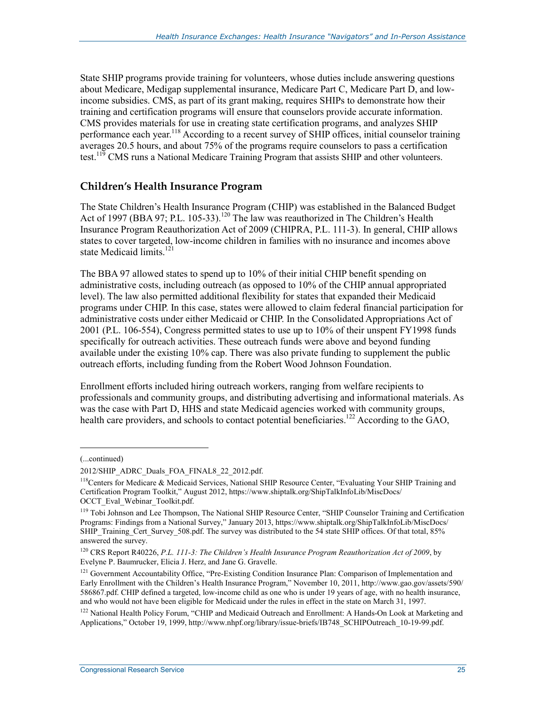State SHIP programs provide training for volunteers, whose duties include answering questions about Medicare, Medigap supplemental insurance, Medicare Part C, Medicare Part D, and lowincome subsidies. CMS, as part of its grant making, requires SHIPs to demonstrate how their training and certification programs will ensure that counselors provide accurate information. CMS provides materials for use in creating state certification programs, and analyzes SHIP performance each year.<sup>118</sup> According to a recent survey of SHIP offices, initial counselor training averages 20.5 hours, and about 75% of the programs require counselors to pass a certification test.<sup>119</sup> CMS runs a National Medicare Training Program that assists SHIP and other volunteers.

### **Children's Health Insurance Program**

The State Children's Health Insurance Program (CHIP) was established in the Balanced Budget Act of 1997 (BBA 97; P.L. 105-33).<sup>120</sup> The law was reauthorized in The Children's Health Insurance Program Reauthorization Act of 2009 (CHIPRA, P.L. 111-3). In general, CHIP allows states to cover targeted, low-income children in families with no insurance and incomes above state Medicaid limits<sup>121</sup>

The BBA 97 allowed states to spend up to 10% of their initial CHIP benefit spending on administrative costs, including outreach (as opposed to 10% of the CHIP annual appropriated level). The law also permitted additional flexibility for states that expanded their Medicaid programs under CHIP. In this case, states were allowed to claim federal financial participation for administrative costs under either Medicaid or CHIP. In the Consolidated Appropriations Act of 2001 (P.L. 106-554), Congress permitted states to use up to 10% of their unspent FY1998 funds specifically for outreach activities. These outreach funds were above and beyond funding available under the existing 10% cap. There was also private funding to supplement the public outreach efforts, including funding from the Robert Wood Johnson Foundation.

Enrollment efforts included hiring outreach workers, ranging from welfare recipients to professionals and community groups, and distributing advertising and informational materials. As was the case with Part D, HHS and state Medicaid agencies worked with community groups, health care providers, and schools to contact potential beneficiaries.<sup>122</sup> According to the GAO,

 $\overline{a}$ 

<sup>(...</sup>continued)

<sup>2012/</sup>SHIP\_ADRC\_Duals\_FOA\_FINAL8\_22\_2012.pdf.

<sup>&</sup>lt;sup>118</sup>Centers for Medicare & Medicaid Services, National SHIP Resource Center, "Evaluating Your SHIP Training and Certification Program Toolkit," August 2012, https://www.shiptalk.org/ShipTalkInfoLib/MiscDocs/ OCCT Eval Webinar Toolkit.pdf.

<sup>&</sup>lt;sup>119</sup> Tobi Johnson and Lee Thompson, The National SHIP Resource Center, "SHIP Counselor Training and Certification Programs: Findings from a National Survey," January 2013, https://www.shiptalk.org/ShipTalkInfoLib/MiscDocs/ SHIP\_Training\_Cert\_Survey\_508.pdf. The survey was distributed to the 54 state SHIP offices. Of that total, 85% answered the survey.

<sup>120</sup> CRS Report R40226, *P.L. 111-3: The Children's Health Insurance Program Reauthorization Act of 2009*, by Evelyne P. Baumrucker, Elicia J. Herz, and Jane G. Gravelle.

<sup>&</sup>lt;sup>121</sup> Government Accountability Office, "Pre-Existing Condition Insurance Plan: Comparison of Implementation and Early Enrollment with the Children's Health Insurance Program," November 10, 2011, http://www.gao.gov/assets/590/ 586867.pdf. CHIP defined a targeted, low-income child as one who is under 19 years of age, with no health insurance, and who would not have been eligible for Medicaid under the rules in effect in the state on March 31, 1997.

<sup>&</sup>lt;sup>122</sup> National Health Policy Forum, "CHIP and Medicaid Outreach and Enrollment: A Hands-On Look at Marketing and Applications," October 19, 1999, http://www.nhpf.org/library/issue-briefs/IB748\_SCHIPOutreach\_10-19-99.pdf.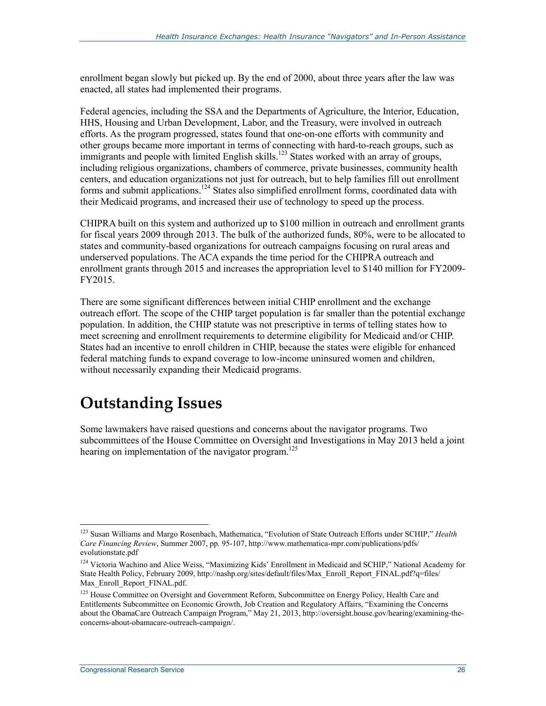enrollment began slowly but picked up. By the end of 2000, about three years after the law was enacted, all states had implemented their programs.

Federal agencies, including the SSA and the Departments of Agriculture, the Interior, Education, HHS, Housing and Urban Development, Labor, and the Treasury, were involved in outreach efforts. As the program progressed, states found that one-on-one efforts with community and other groups became more important in terms of connecting with hard-to-reach groups, such as immigrants and people with limited English skills.<sup>123</sup> States worked with an array of groups, including religious organizations, chambers of commerce, private businesses, community health centers, and education organizations not just for outreach, but to help families fill out enrollment forms and submit applications.124 States also simplified enrollment forms, coordinated data with their Medicaid programs, and increased their use of technology to speed up the process.

CHIPRA built on this system and authorized up to \$100 million in outreach and enrollment grants for fiscal years 2009 through 2013. The bulk of the authorized funds, 80%, were to be allocated to states and community-based organizations for outreach campaigns focusing on rural areas and underserved populations. The ACA expands the time period for the CHIPRA outreach and enrollment grants through 2015 and increases the appropriation level to \$140 million for FY2009- FY2015.

There are some significant differences between initial CHIP enrollment and the exchange outreach effort. The scope of the CHIP target population is far smaller than the potential exchange population. In addition, the CHIP statute was not prescriptive in terms of telling states how to meet screening and enrollment requirements to determine eligibility for Medicaid and/or CHIP. States had an incentive to enroll children in CHIP, because the states were eligible for enhanced federal matching funds to expand coverage to low-income uninsured women and children, without necessarily expanding their Medicaid programs.

## **Outstanding Issues**

Some lawmakers have raised questions and concerns about the navigator programs. Two subcommittees of the House Committee on Oversight and Investigations in May 2013 held a joint hearing on implementation of the navigator program.<sup>125</sup>

<sup>123</sup> Susan Williams and Margo Rosenbach, Mathematica, "Evolution of State Outreach Efforts under SCHIP," *Health Care Financing Review*, Summer 2007, pp. 95-107, http://www.mathematica-mpr.com/publications/pdfs/ evolutionstate.pdf

<sup>&</sup>lt;sup>124</sup> Victoria Wachino and Alice Weiss, "Maximizing Kids' Enrollment in Medicaid and SCHIP," National Academy for State Health Policy, February 2009, http://nashp.org/sites/default/files/Max\_Enroll\_Report\_FINAL.pdf?q=files/ Max\_Enroll\_Report\_FINAL.pdf.

<sup>&</sup>lt;sup>125</sup> House Committee on Oversight and Government Reform, Subcommittee on Energy Policy, Health Care and Entitlements Subcommittee on Economic Growth, Job Creation and Regulatory Affairs, "Examining the Concerns about the ObamaCare Outreach Campaign Program," May 21, 2013, http://oversight.house.gov/hearing/examining-theconcerns-about-obamacare-outreach-campaign/.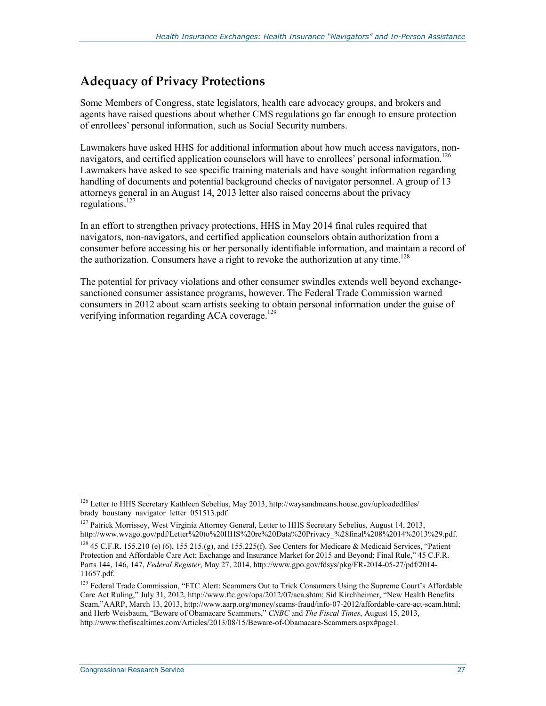## **Adequacy of Privacy Protections**

Some Members of Congress, state legislators, health care advocacy groups, and brokers and agents have raised questions about whether CMS regulations go far enough to ensure protection of enrollees' personal information, such as Social Security numbers.

Lawmakers have asked HHS for additional information about how much access navigators, nonnavigators, and certified application counselors will have to enrollees' personal information.<sup>126</sup> Lawmakers have asked to see specific training materials and have sought information regarding handling of documents and potential background checks of navigator personnel. A group of 13 attorneys general in an August 14, 2013 letter also raised concerns about the privacy regulations.<sup>127</sup>

In an effort to strengthen privacy protections, HHS in May 2014 final rules required that navigators, non-navigators, and certified application counselors obtain authorization from a consumer before accessing his or her personally identifiable information, and maintain a record of the authorization. Consumers have a right to revoke the authorization at any time.<sup>128</sup>

The potential for privacy violations and other consumer swindles extends well beyond exchangesanctioned consumer assistance programs, however. The Federal Trade Commission warned consumers in 2012 about scam artists seeking to obtain personal information under the guise of verifying information regarding ACA coverage.<sup>129</sup>

<u>.</u>

<sup>&</sup>lt;sup>126</sup> Letter to HHS Secretary Kathleen Sebelius, May 2013, http://waysandmeans.house.gov/uploadedfiles/ brady\_boustany\_navigator\_letter\_051513.pdf.

<sup>&</sup>lt;sup>127</sup> Patrick Morrissey, West Virginia Attorney General, Letter to HHS Secretary Sebelius, August 14, 2013, http://www.wvago.gov/pdf/Letter%20to%20HHS%20re%20Data%20Privacy\_%28final%208%2014%2013%29.pdf.

<sup>&</sup>lt;sup>128</sup> 45 C.F.R. 155.210 (e) (6), 155 215.(g), and 155.225(f). See Centers for Medicare & Medicaid Services, "Patient Protection and Affordable Care Act; Exchange and Insurance Market for 2015 and Beyond; Final Rule," 45 C.F.R. Parts 144, 146, 147, *Federal Register*, May 27, 2014, http://www.gpo.gov/fdsys/pkg/FR-2014-05-27/pdf/2014- 11657.pdf.

<sup>&</sup>lt;sup>129</sup> Federal Trade Commission, "FTC Alert: Scammers Out to Trick Consumers Using the Supreme Court's Affordable Care Act Ruling," July 31, 2012, http://www.ftc.gov/opa/2012/07/aca.shtm; Sid Kirchheimer, "New Health Benefits Scam,"AARP, March 13, 2013, http://www.aarp.org/money/scams-fraud/info-07-2012/affordable-care-act-scam.html; and Herb Weisbaum, "Beware of Obamacare Scammers," *CNBC* and *The Fiscal Times*, August 15, 2013, http://www.thefiscaltimes.com/Articles/2013/08/15/Beware-of-Obamacare-Scammers.aspx#page1.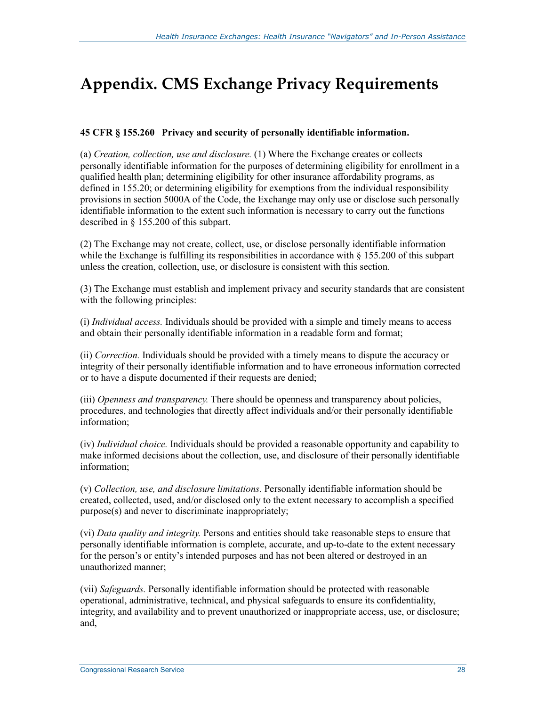## **Appendix. CMS Exchange Privacy Requirements**

#### **45 CFR § 155.260 Privacy and security of personally identifiable information.**

(a) *Creation, collection, use and disclosure.* (1) Where the Exchange creates or collects personally identifiable information for the purposes of determining eligibility for enrollment in a qualified health plan; determining eligibility for other insurance affordability programs, as defined in 155.20; or determining eligibility for exemptions from the individual responsibility provisions in section 5000A of the Code, the Exchange may only use or disclose such personally identifiable information to the extent such information is necessary to carry out the functions described in § 155.200 of this subpart.

(2) The Exchange may not create, collect, use, or disclose personally identifiable information while the Exchange is fulfilling its responsibilities in accordance with  $\S$  155.200 of this subpart unless the creation, collection, use, or disclosure is consistent with this section.

(3) The Exchange must establish and implement privacy and security standards that are consistent with the following principles:

(i) *Individual access.* Individuals should be provided with a simple and timely means to access and obtain their personally identifiable information in a readable form and format;

(ii) *Correction.* Individuals should be provided with a timely means to dispute the accuracy or integrity of their personally identifiable information and to have erroneous information corrected or to have a dispute documented if their requests are denied;

(iii) *Openness and transparency.* There should be openness and transparency about policies, procedures, and technologies that directly affect individuals and/or their personally identifiable information;

(iv) *Individual choice.* Individuals should be provided a reasonable opportunity and capability to make informed decisions about the collection, use, and disclosure of their personally identifiable information;

(v) *Collection, use, and disclosure limitations.* Personally identifiable information should be created, collected, used, and/or disclosed only to the extent necessary to accomplish a specified purpose(s) and never to discriminate inappropriately;

(vi) *Data quality and integrity.* Persons and entities should take reasonable steps to ensure that personally identifiable information is complete, accurate, and up-to-date to the extent necessary for the person's or entity's intended purposes and has not been altered or destroyed in an unauthorized manner;

(vii) *Safeguards.* Personally identifiable information should be protected with reasonable operational, administrative, technical, and physical safeguards to ensure its confidentiality, integrity, and availability and to prevent unauthorized or inappropriate access, use, or disclosure; and,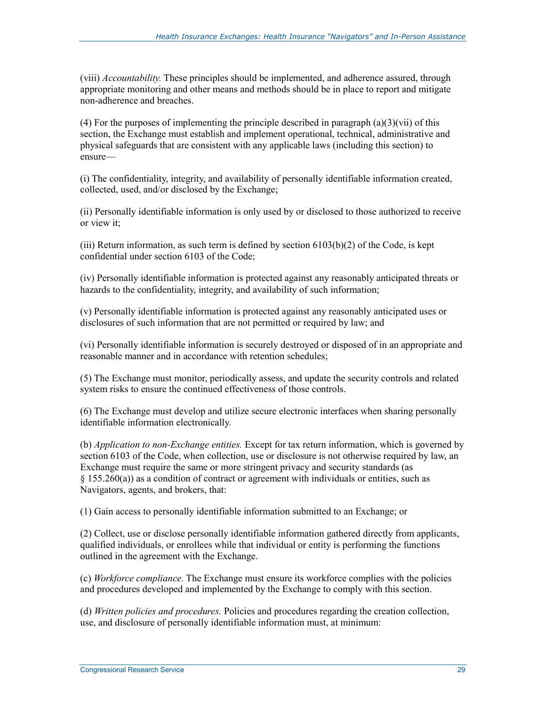(viii) *Accountability.* These principles should be implemented, and adherence assured, through appropriate monitoring and other means and methods should be in place to report and mitigate non-adherence and breaches.

(4) For the purposes of implementing the principle described in paragraph (a)(3)(vii) of this section, the Exchange must establish and implement operational, technical, administrative and physical safeguards that are consistent with any applicable laws (including this section) to ensure—

(i) The confidentiality, integrity, and availability of personally identifiable information created, collected, used, and/or disclosed by the Exchange;

(ii) Personally identifiable information is only used by or disclosed to those authorized to receive or view it;

(iii) Return information, as such term is defined by section  $6103(b)(2)$  of the Code, is kept confidential under section 6103 of the Code;

(iv) Personally identifiable information is protected against any reasonably anticipated threats or hazards to the confidentiality, integrity, and availability of such information;

(v) Personally identifiable information is protected against any reasonably anticipated uses or disclosures of such information that are not permitted or required by law; and

(vi) Personally identifiable information is securely destroyed or disposed of in an appropriate and reasonable manner and in accordance with retention schedules;

(5) The Exchange must monitor, periodically assess, and update the security controls and related system risks to ensure the continued effectiveness of those controls.

(6) The Exchange must develop and utilize secure electronic interfaces when sharing personally identifiable information electronically.

(b) *Application to non-Exchange entities.* Except for tax return information, which is governed by section 6103 of the Code, when collection, use or disclosure is not otherwise required by law, an Exchange must require the same or more stringent privacy and security standards (as  $§$  155.260(a)) as a condition of contract or agreement with individuals or entities, such as Navigators, agents, and brokers, that:

(1) Gain access to personally identifiable information submitted to an Exchange; or

(2) Collect, use or disclose personally identifiable information gathered directly from applicants, qualified individuals, or enrollees while that individual or entity is performing the functions outlined in the agreement with the Exchange.

(c) *Workforce compliance.* The Exchange must ensure its workforce complies with the policies and procedures developed and implemented by the Exchange to comply with this section.

(d) *Written policies and procedures.* Policies and procedures regarding the creation collection, use, and disclosure of personally identifiable information must, at minimum: